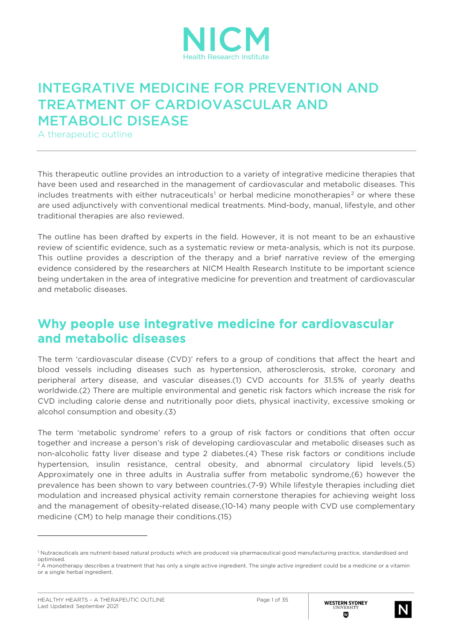

# INTEGRATIVE MEDICINE FOR PREVENTION AND TREATMENT OF CARDIOVASCULAR AND METABOLIC DISEASE

A therapeutic outline

This therapeutic outline provides an introduction to a variety of integrative medicine therapies that have been used and researched in the management of cardiovascular and metabolic diseases. This includes treatments with either nutraceuticals<sup>[1](#page-0-0)</sup> or herbal medicine monotherapies<sup>[2](#page-0-1)</sup> or where these are used adjunctively with conventional medical treatments. Mind-body, manual, lifestyle, and other traditional therapies are also reviewed.

The outline has been drafted by experts in the field. However, it is not meant to be an exhaustive review of scientific evidence, such as a systematic review or meta-analysis, which is not its purpose. This outline provides a description of the therapy and a brief narrative review of the emerging evidence considered by the researchers at NICM Health Research Institute to be important science being undertaken in the area of integrative medicine for prevention and treatment of cardiovascular and metabolic diseases.

### Why people use integrative medicine for cardiovascular and metabolic diseases

The term 'cardiovascular disease (CVD)' refers to a group of conditions that affect the heart and blood vessels including diseases such as hypertension, atherosclerosis, stroke, coronary and peripheral artery disease, and vascular diseases.(1) CVD accounts for 31.5% of yearly deaths worldwide.(2) There are multiple environmental and genetic risk factors which increase the risk for CVD including calorie dense and nutritionally poor diets, physical inactivity, excessive smoking or alcohol consumption and obesity.(3)

The term 'metabolic syndrome' refers to a group of risk factors or conditions that often occur together and increase a person's risk of developing cardiovascular and metabolic diseases such as non-alcoholic fatty liver disease and type 2 diabetes.(4) These risk factors or conditions include hypertension, insulin resistance, central obesity, and abnormal circulatory lipid levels.(5) Approximately one in three adults in Australia suffer from metabolic syndrome,(6) however the prevalence has been shown to vary between countries.(7-9) While lifestyle therapies including diet modulation and increased physical activity remain cornerstone therapies for achieving weight loss and the management of obesity-related disease,(10-14) many people with CVD use complementary medicine (CM) to help manage their conditions.(15)



<span id="page-0-0"></span><sup>1</sup> Nutraceuticals are nutrient-based natural products which are produced via pharmaceutical good manufacturing practice, standardised and optimised.

<span id="page-0-1"></span><sup>&</sup>lt;sup>2</sup> A monotherapy describes a treatment that has only a single active ingredient. The single active ingredient could be a medicine or a vitamin or a single herbal ingredient.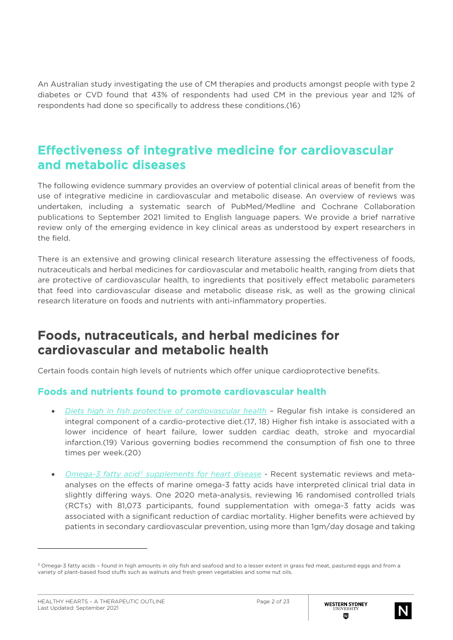An Australian study investigating the use of CM therapies and products amongst people with type 2 diabetes or CVD found that 43% of respondents had used CM in the previous year and 12% of respondents had done so specifically to address these conditions.(16)

### Effectiveness of integrative medicine for cardiovascular and metabolic diseases

The following evidence summary provides an overview of potential clinical areas of benefit from the use of integrative medicine in cardiovascular and metabolic disease. An overview of reviews was undertaken, including a systematic search of PubMed/Medline and Cochrane Collaboration publications to September 2021 limited to English language papers. We provide a brief narrative review only of the emerging evidence in key clinical areas as understood by expert researchers in the field.

There is an extensive and growing clinical research literature assessing the effectiveness of foods, nutraceuticals and herbal medicines for cardiovascular and metabolic health, ranging from diets that are protective of cardiovascular health, to ingredients that positively effect metabolic parameters that feed into cardiovascular disease and metabolic disease risk, as well as the growing clinical research literature on foods and nutrients with anti-inflammatory properties.

## Foods, nutraceuticals, and herbal medicines for cardiovascular and metabolic health

Certain foods contain high levels of nutrients which offer unique cardioprotective benefits.

#### Foods and nutrients found to promote cardiovascular health

- *Diets high in fish protective of cardiovascular health –* Regular fish intake is considered an integral component of a cardio-protective diet.(17, 18) Higher fish intake is associated with a lower incidence of heart failure, lower sudden cardiac death, stroke and myocardial infarction.(19) Various governing bodies recommend the consumption of fish one to three times per week.(20)
- *Omega-3 fatty acid[3](#page-1-0) supplements for heart disease -* Recent systematic reviews and metaanalyses on the effects of marine omega-3 fatty acids have interpreted clinical trial data in slightly differing ways. One 2020 meta-analysis, reviewing 16 randomised controlled trials (RCTs) with 81,073 participants, found supplementation with omega-3 fatty acids was associated with a significant reduction of cardiac mortality. Higher benefits were achieved by patients in secondary cardiovascular prevention, using more than 1gm/day dosage and taking



<span id="page-1-0"></span><sup>&</sup>lt;sup>3</sup> Omega-3 fatty acids - found in high amounts in oily fish and seafood and to a lesser extent in grass fed meat, pastured eggs and from a variety of plant-based food stuffs such as walnuts and fresh green vegetables and some nut oils.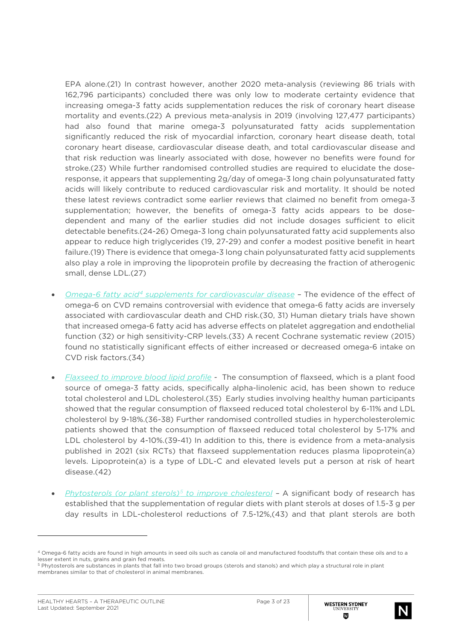EPA alone.(21) In contrast however, another 2020 meta-analysis (reviewing 86 trials with 162,796 participants) concluded there was only low to moderate certainty evidence that increasing omega-3 fatty acids supplementation reduces the risk of coronary heart disease mortality and events.(22) A previous meta-analysis in 2019 (involving 127,477 participants) had also found that marine omega-3 polyunsaturated fatty acids supplementation significantly reduced the risk of myocardial infarction, coronary heart disease death, total coronary heart disease, cardiovascular disease death, and total cardiovascular disease and that risk reduction was linearly associated with dose, however no benefits were found for stroke.(23) While further randomised controlled studies are required to elucidate the doseresponse, it appears that supplementing 2g/day of omega-3 long chain polyunsaturated fatty acids will likely contribute to reduced cardiovascular risk and mortality. It should be noted these latest reviews contradict some earlier reviews that claimed no benefit from omega-3 supplementation; however, the benefits of omega-3 fatty acids appears to be dosedependent and many of the earlier studies did not include dosages sufficient to elicit detectable benefits.(24-26) Omega-3 long chain polyunsaturated fatty acid supplements also appear to reduce high triglycerides (19, 27-29) and confer a modest positive benefit in heart failure.(19) There is evidence that omega-3 long chain polyunsaturated fatty acid supplements also play a role in improving the lipoprotein profile by decreasing the fraction of atherogenic small, dense LDL.(27)

- *Omega-6 fatty acid[4](#page-2-0) supplements for cardiovascular disease* The evidence of the effect of omega-6 on CVD remains controversial with evidence that omega-6 fatty acids are inversely associated with cardiovascular death and CHD risk.(30, 31) Human dietary trials have shown that increased omega-6 fatty acid has adverse effects on platelet aggregation and endothelial function (32) or high sensitivity-CRP levels.(33) A recent Cochrane systematic review (2015) found no statistically significant effects of either increased or decreased omega-6 intake on CVD risk factors.(34)
- *Flaxseed to improve blood lipid profile* The consumption of flaxseed, which is a plant food source of omega-3 fatty acids, specifically alpha-linolenic acid, has been shown to reduce total cholesterol and LDL cholesterol.(35) Early studies involving healthy human participants showed that the regular consumption of flaxseed reduced total cholesterol by 6-11% and LDL cholesterol by 9-18%.(36-38) Further randomised controlled studies in hypercholesterolemic patients showed that the consumption of flaxseed reduced total cholesterol by 5-17% and LDL cholesterol by 4-10%.(39-41) In addition to this, there is evidence from a meta-analysis published in 2021 (six RCTs) that flaxseed supplementation reduces plasma lipoprotein(a) levels. Lipoprotein(a) is a type of LDL-C and elevated levels put a person at risk of heart disease.(42)
- *Phytosterols (or plant sterols)[5](#page-2-1) to improve cholesterol –* A significant body of research has established that the supplementation of regular diets with plant sterols at doses of 1.5-3 g per day results in LDL-cholesterol reductions of 7.5-12%,(43) and that plant sterols are both



<span id="page-2-0"></span><sup>4</sup> Omega-6 fatty acids are found in high amounts in seed oils such as canola oil and manufactured foodstuffs that contain these oils and to a lesser extent in nuts, grains and grain fed meats.

<span id="page-2-1"></span><sup>5</sup> Phytosterols are substances in plants that fall into two broad groups (sterols and stanols) and which play a structural role in plant membranes similar to that of cholesterol in animal membranes.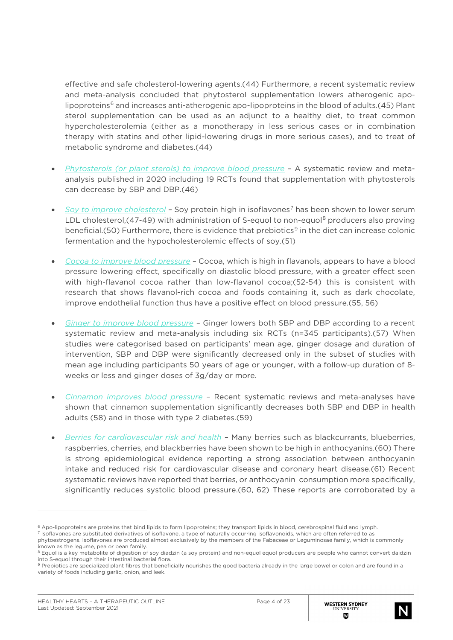effective and safe cholesterol-lowering agents.(44) Furthermore, a recent systematic review and meta-analysis concluded that phytosterol supplementation lowers atherogenic apo-lipoproteins<sup>[6](#page-3-0)</sup> and increases anti-atherogenic apo-lipoproteins in the blood of adults.(45) Plant sterol supplementation can be used as an adjunct to a healthy diet, to treat common hypercholesterolemia (either as a monotherapy in less serious cases or in combination therapy with statins and other lipid-lowering drugs in more serious cases), and to treat of metabolic syndrome and diabetes.(44)

- *Phytosterols (or plant sterols) to improve blood pressure –* A systematic review and metaanalysis published in 2020 including 19 RCTs found that supplementation with phytosterols can decrease by SBP and DBP.(46)
- *Soy to improve cholesterol* Soy protein high in isoflavones<sup>[7](#page-3-1)</sup> has been shown to lower serum LDL cholesterol, (47-49) with administration of S-equol to non-equol<sup>[8](#page-3-2)</sup> producers also proving beneficial.(50) Furthermore, there is evidence that prebiotics<sup>[9](#page-3-3)</sup> in the diet can increase colonic fermentation and the hypocholesterolemic effects of soy.(51)
- *Cocoa to improve blood pressure –* Cocoa, which is high in flavanols, appears to have a blood pressure lowering effect, specifically on diastolic blood pressure, with a greater effect seen with high-flavanol cocoa rather than low-flavanol cocoa;(52-54) this is consistent with research that shows flavanol-rich cocoa and foods containing it, such as dark chocolate, improve endothelial function thus have a positive effect on blood pressure.(55, 56)
- *Ginger to improve blood pressure –* Ginger lowers both SBP and DBP according to a recent systematic review and meta-analysis including six RCTs (n=345 participants).(57) When studies were categorised based on participants' mean age, ginger dosage and duration of intervention, SBP and DBP were significantly decreased only in the subset of studies with mean age including participants 50 years of age or younger, with a follow-up duration of 8 weeks or less and ginger doses of 3g/day or more.
- *Cinnamon improves blood pressure –* Recent systematic reviews and meta-analyses have shown that cinnamon supplementation significantly decreases both SBP and DBP in health adults (58) and in those with type 2 diabetes.(59)
- *Berries for cardiovascular risk and health –* Many berries such as blackcurrants, blueberries, raspberries, cherries, and blackberries have been shown to be high in anthocyanins.(60) There is strong epidemiological evidence reporting a strong association between anthocyanin intake and reduced risk for cardiovascular disease and coronary heart disease.(61) Recent systematic reviews have reported that berries, or anthocyanin consumption more specifically, significantly reduces systolic blood pressure.(60, 62) These reports are corroborated by a



<span id="page-3-1"></span><span id="page-3-0"></span> $6$  Apo-lipoproteins are proteins that bind lipids to form lipoproteins; they transport lipids in blood, cerebrospinal fluid and lymph.

<sup>7</sup> Isoflavones are substituted derivatives of isoflavone, a type of naturally occurring isoflavonoids, which are often referred to as phytoestrogens. Isoflavones are produced almost exclusively by the members of the Fabaceae or Leguminosae family, which is commonly known as the legume, pea or bean family.

<span id="page-3-2"></span><sup>&</sup>lt;sup>8</sup> Equol is a key metabolite of digestion of soy diadzin (a soy protein) and non-equol equol producers are people who cannot convert daidzin into S-equol through their intestinal bacterial flora.

<span id="page-3-3"></span><sup>9</sup> Prebiotics are specialized plant fibres that beneficially nourishes the good bacteria already in the large bowel or colon and are found in a variety of foods including garlic, onion, and leek.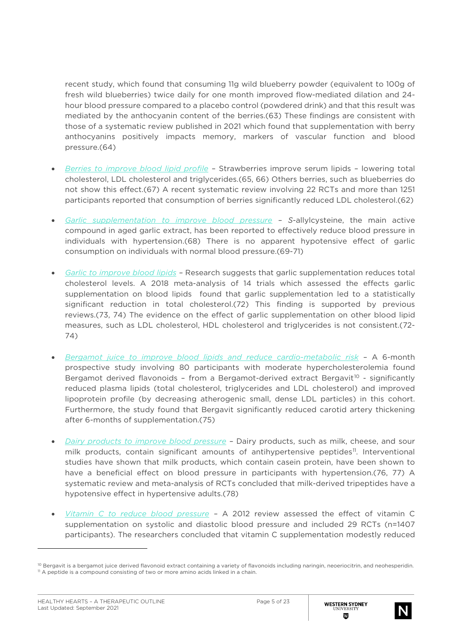recent study, which found that consuming 11g wild blueberry powder (equivalent to 100g of fresh wild blueberries) twice daily for one month improved flow-mediated dilation and 24 hour blood pressure compared to a placebo control (powdered drink) and that this result was mediated by the anthocyanin content of the berries.(63) These findings are consistent with those of a systematic review published in 2021 which found that supplementation with berry anthocyanins positively impacts memory, markers of vascular function and blood pressure.(64)

- *Berries to improve blood lipid profile –* Strawberries improve serum lipids lowering total cholesterol, LDL cholesterol and triglycerides.(65, 66) Others berries, such as blueberries do not show this effect.(67) A recent systematic review involving 22 RCTs and more than 1251 participants reported that consumption of berries significantly reduced LDL cholesterol.(62)
- *Garlic supplementation to improve blood pressure – S*-allylcysteine, the main active compound in aged garlic extract, has been reported to effectively reduce blood pressure in individuals with hypertension.(68) There is no apparent hypotensive effect of garlic consumption on individuals with normal blood pressure.(69-71)
- *Garlic to improve blood lipids –* Research suggests that garlic supplementation reduces total cholesterol levels. A 2018 meta-analysis of 14 trials which assessed the effects garlic supplementation on blood lipids found that garlic supplementation led to a statistically significant reduction in total cholesterol.(72) This finding is supported by previous reviews.(73, 74) The evidence on the effect of garlic supplementation on other blood lipid measures, such as LDL cholesterol, HDL cholesterol and triglycerides is not consistent.(72- 74)
- *Bergamot juice to improve blood lipids and reduce cardio-metabolic risk –* A 6-month prospective study involving 80 participants with moderate hypercholesterolemia found Bergamot derived flavonoids - from a Bergamot-derived extract Bergavit<sup>[10](#page-4-0)</sup> - significantly reduced plasma lipids (total cholesterol, triglycerides and LDL cholesterol) and improved lipoprotein profile (by decreasing atherogenic small, dense LDL particles) in this cohort. Furthermore, the study found that Bergavit significantly reduced carotid artery thickening after 6-months of supplementation.(75)
- *Dairy products to improve blood pressure –* Dairy products, such as milk, cheese, and sour milk products, contain significant amounts of antihypertensive peptides<sup>[11](#page-4-1)</sup>. Interventional studies have shown that milk products, which contain casein protein, have been shown to have a beneficial effect on blood pressure in participants with hypertension.(76, 77) A systematic review and meta-analysis of RCTs concluded that milk-derived tripeptides have a hypotensive effect in hypertensive adults.(78)
- *Vitamin C to reduce blood pressure –* A 2012 review assessed the effect of vitamin C supplementation on systolic and diastolic blood pressure and included 29 RCTs (n=1407 participants). The researchers concluded that vitamin C supplementation modestly reduced



<span id="page-4-1"></span><span id="page-4-0"></span><sup>&</sup>lt;sup>10</sup> Bergavit is a bergamot juice derived flavonoid extract containing a variety of flavonoids including naringin, neoeriocitrin, and neohesperidin.<br><sup>11</sup> A peptide is a compound consisting of two or more amino acids linked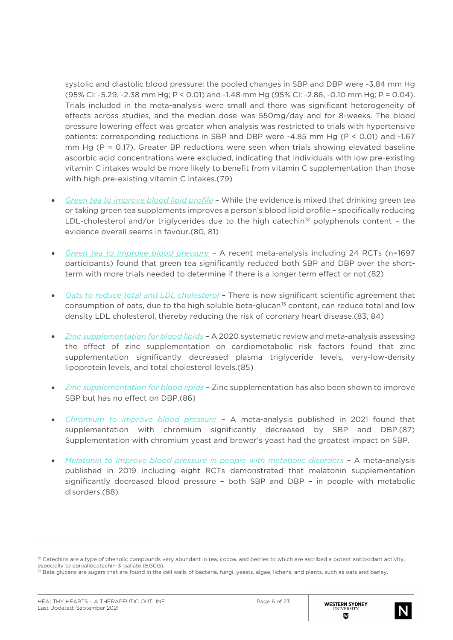systolic and diastolic blood pressure: the pooled changes in SBP and DBP were -3.84 mm Hg (95% CI: -5.29, -2.38 mm Hg; P < 0.01) and -1.48 mm Hg (95% CI: -2.86, -0.10 mm Hg; P = 0.04). Trials included in the meta-analysis were small and there was significant heterogeneity of effects across studies, and the median dose was 550mg/day and for 8-weeks. The blood pressure lowering effect was greater when analysis was restricted to trials with hypertensive patients: corresponding reductions in SBP and DBP were -4.85 mm Hg (P < 0.01) and -1.67 mm Hg ( $P = 0.17$ ). Greater BP reductions were seen when trials showing elevated baseline ascorbic acid concentrations were excluded, indicating that individuals with low pre-existing vitamin C intakes would be more likely to benefit from vitamin C supplementation than those with high pre-existing vitamin C intakes.(79)

- *Green tea to improve blood lipid profile –* While the evidence is mixed that drinking green tea or taking green tea supplements improves a person's blood lipid profile – specifically reducing LDL-cholesterol and/or triglycerides due to the high catechin<sup>[12](#page-5-0)</sup> polyphenols content - the evidence overall seems in favour.(80, 81)
- *Green tea to improve blood pressure –* A recent meta-analysis including 24 RCTs (n=1697 participants) found that green tea significantly reduced both SBP and DBP over the shortterm with more trials needed to determine if there is a longer term effect or not.(82)
- *Oats to reduce total and LDL cholesterol –* There is now significant scientific agreement that consumption of oats, due to the high soluble beta-glucan<sup>[13](#page-5-1)</sup> content, can reduce total and low density LDL cholesterol, thereby reducing the risk of coronary heart disease.(83, 84)
- *Zinc supplementation for blood lipids* A 2020 systematic review and meta-analysis assessing the effect of zinc supplementation on cardiometabolic risk factors found that zinc supplementation significantly decreased plasma triglyceride levels, very-low-density lipoprotein levels, and total cholesterol levels.(85)
- *Zinc supplementation for blood lipids* Zinc supplementation has also been shown to improve SBP but has no effect on DBP.(86)
- *Chromium to improve blood pressure* A meta-analysis published in 2021 found that supplementation with chromium significantly decreased by SBP and DBP.(87) Supplementation with chromium yeast and brewer's yeast had the greatest impact on SBP.
- *Melatonin to improve blood pressure in people with metabolic disorders* A meta-analysis published in 2019 including eight RCTs demonstrated that melatonin supplementation significantly decreased blood pressure – both SBP and DBP – in people with metabolic disorders.(88)



<span id="page-5-0"></span> $12$  Catechins are a type of phenolic compounds very abundant in tea, cocoa, and berries to which are ascribed a potent antioxidant activity, especially to epigallocatechin-3-gallate (EGCG).

<span id="page-5-1"></span><sup>&</sup>lt;sup>13</sup> Beta glucans are sugars that are found in the cell walls of bacteria, fungi, yeasts, algae, lichens, and plants, such as oats and barley.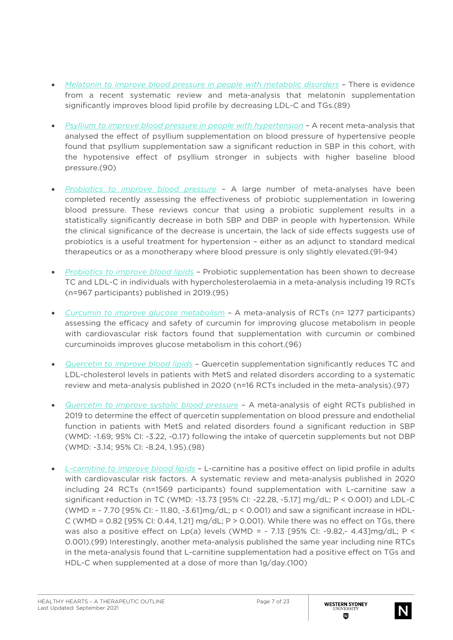- *Melatonin to improve blood pressure in people with metabolic disorders –* There is evidence from a recent systematic review and meta-analysis that melatonin supplementation significantly improves blood lipid profile by decreasing LDL-C and TGs.(89)
- *Psyllium to improve blood pressure in people with hypertension –* A recent meta-analysis that analysed the effect of psyllium supplementation on blood pressure of hypertensive people found that psyllium supplementation saw a significant reduction in SBP in this cohort, with the hypotensive effect of psyllium stronger in subjects with higher baseline blood pressure.(90)
- *Probiotics to improve blood pressure* A large number of meta-analyses have been completed recently assessing the effectiveness of probiotic supplementation in lowering blood pressure. These reviews concur that using a probiotic supplement results in a statistically significantly decrease in both SBP and DBP in people with hypertension. While the clinical significance of the decrease is uncertain, the lack of side effects suggests use of probiotics is a useful treatment for hypertension – either as an adjunct to standard medical therapeutics or as a monotherapy where blood pressure is only slightly elevated.(91-94)
- *Probiotics to improve blood lipids* Probiotic supplementation has been shown to decrease TC and LDL-C in individuals with hypercholesterolaemia in a meta-analysis including 19 RCTs (n=967 participants) published in 2019.(95)
- *Curcumin to improve glucose metabolism* A meta-analysis of RCTs (n= 1277 participants) assessing the efficacy and safety of curcumin for improving glucose metabolism in people with cardiovascular risk factors found that supplementation with curcumin or combined curcuminoids improves glucose metabolism in this cohort.(96)
- *Quercetin to improve blood lipids* Quercetin supplementation significantly reduces TC and LDL-cholesterol levels in patients with MetS and related disorders according to a systematic review and meta-analysis published in 2020 (n=16 RCTs included in the meta-analysis).(97)
- *Quercetin to improve systolic blood pressure* A meta-analysis of eight RCTs published in 2019 to determine the effect of quercetin supplementation on blood pressure and endothelial function in patients with MetS and related disorders found a significant reduction in SBP (WMD: -1.69; 95% CI: -3.22, -0.17) following the intake of quercetin supplements but not DBP (WMD: -3.14; 95% CI: -8.24, 1.95).(98)
- *L-carnitine to improve blood lipids* L-carnitine has a positive effect on lipid profile in adults with cardiovascular risk factors. A systematic review and meta-analysis published in 2020 including 24 RCTs (n=1569 participants) found supplementation with L-carnitine saw a significant reduction in TC (WMD: -13.73 [95% CI: -22.28, -5.17] mg/dL; P < 0.001) and LDL-C (WMD = - 7.70 [95% CI: - 11.80, -3.61]mg/dL; p < 0.001) and saw a significant increase in HDL-C (WMD =  $0.82$  [95% CI:  $0.44$ , 1.21] mg/dL; P >  $0.001$ ). While there was no effect on TGs, there was also a positive effect on Lp(a) levels (WMD =  $-7.13$  [95% CI: -9.82,- 4.43]mg/dL; P < 0.001).(99) Interestingly, another meta-analysis published the same year including nine RTCs in the meta-analysis found that L-carnitine supplementation had a positive effect on TGs and HDL-C when supplemented at a dose of more than 1g/day.(100)

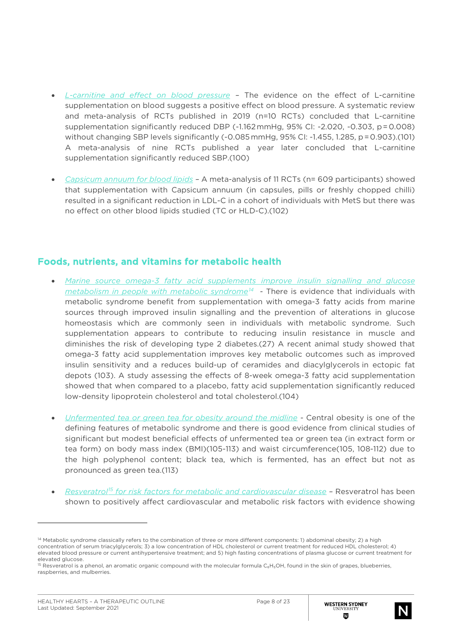- *L-carnitine and effect on blood pressure* The evidence on the effect of L-carnitine supplementation on blood suggests a positive effect on blood pressure. A systematic review and meta-analysis of RCTs published in 2019 (n=10 RCTs) concluded that L-carnitine supplementation significantly reduced DBP (-1.162 mmHg, 95% CI: -2.020, -0.303, p = 0.008) without changing SBP levels significantly (-0.085 mmHg, 95% CI: -1.455, 1.285, p = 0.903).(101) A meta-analysis of nine RCTs published a year later concluded that L-carnitine supplementation significantly reduced SBP.(100)
- *Capsicum annuum for blood lipids* A meta-analysis of 11 RCTs (n= 609 participants) showed that supplementation with Capsicum annuum (in capsules, pills or freshly chopped chilli) resulted in a significant reduction in LDL-C in a cohort of individuals with MetS but there was no effect on other blood lipids studied (TC or HLD-C).(102)

#### Foods, nutrients, and vitamins for metabolic health

- *Marine source omega-3 fatty acid supplements improve insulin signalling and glucose metabolism in people with metabolic syndrome[14](#page-7-0) -* There is evidence that individuals with metabolic syndrome benefit from supplementation with omega-3 fatty acids from marine sources through improved insulin signalling and the prevention of alterations in glucose homeostasis which are commonly seen in individuals with metabolic syndrome. Such supplementation appears to contribute to reducing insulin resistance in muscle and diminishes the risk of developing type 2 diabetes.(27) A recent animal study showed that omega-3 fatty acid supplementation improves key metabolic outcomes such as improved insulin sensitivity and a reduces build-up of ceramides and diacylglycerols in ectopic fat depots (103). A study assessing the effects of 8-week omega-3 fatty acid supplementation showed that when compared to a placebo, fatty acid supplementation significantly reduced low-density lipoprotein cholesterol and total cholesterol.(104)
- *Unfermented tea or green tea for obesity around the midline* Central obesity is one of the defining features of metabolic syndrome and there is good evidence from clinical studies of significant but modest beneficial effects of unfermented tea or green tea (in extract form or tea form) on body mass index (BMI)(105-113) and waist circumference(105, 108-112) due to the high polyphenol content; black tea, which is fermented, has an effect but not as pronounced as green tea.(113)
- *Resveratrol[15](#page-7-1) for risk factors for metabolic and cardiovascular disease* Resveratrol has been shown to positively affect cardiovascular and metabolic risk factors with evidence showing



<span id="page-7-0"></span><sup>&</sup>lt;sup>14</sup> Metabolic syndrome classically refers to the combination of three or more different components: 1) abdominal obesity: 2) a high concentration of serum triacylglycerols; 3) a low concentration of HDL cholesterol or current treatment for reduced HDL cholesterol; 4) elevated blood pressure or current antihypertensive treatment; and 5) high fasting concentrations of plasma glucose or current treatment for elevated glucose.

<span id="page-7-1"></span><sup>&</sup>lt;sup>15</sup> Resveratrol is a phenol, an aromatic organic compound with the molecular formula C<sub>6</sub>H<sub>5</sub>OH, found in the skin of grapes, blueberries, raspberries, and mulberries.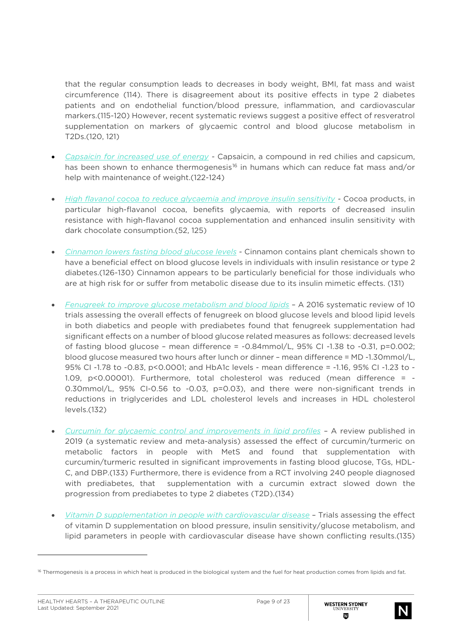that the regular consumption leads to decreases in body weight, BMI, fat mass and waist circumference (114). There is disagreement about its positive effects in type 2 diabetes patients and on endothelial function/blood pressure, inflammation, and cardiovascular markers.(115-120) However, recent systematic reviews suggest a positive effect of resveratrol supplementation on markers of glycaemic control and blood glucose metabolism in T2Ds.(120, 121)

- *Capsaicin for increased use of energy -* Capsaicin, a compound in red chilies and capsicum, has been shown to enhance thermogenesis<sup>[16](#page-8-0)</sup> in humans which can reduce fat mass and/or help with maintenance of weight.(122-124)
- *High flavanol cocoa to reduce glycaemia and improve insulin sensitivity -* Cocoa products, in particular high-flavanol cocoa, benefits glycaemia, with reports of decreased insulin resistance with high-flavanol cocoa supplementation and enhanced insulin sensitivity with dark chocolate consumption.(52, 125)
- *Cinnamon lowers fasting blood glucose levels* Cinnamon contains plant chemicals shown to have a beneficial effect on blood glucose levels in individuals with insulin resistance or type 2 diabetes.(126-130) Cinnamon appears to be particularly beneficial for those individuals who are at high risk for or suffer from metabolic disease due to its insulin mimetic effects. (131)
- *Fenugreek to improve glucose metabolism and blood lipids* A 2016 systematic review of 10 trials assessing the overall effects of fenugreek on blood glucose levels and blood lipid levels in both diabetics and people with prediabetes found that fenugreek supplementation had significant effects on a number of blood glucose related measures as follows: decreased levels of fasting blood glucose – mean difference =  $-0.84$ mmol/L,  $95\%$  CI $-1.38$  to  $-0.31$ , p=0.002; blood glucose measured two hours after lunch or dinner – mean difference = MD -1.30mmol/L, 95% CI -1.78 to -0.83, p<0.0001; and HbA1c levels - mean difference = -1.16, 95% CI -1.23 to - 1.09, p<0.00001). Furthermore, total cholesterol was reduced (mean difference = - 0.30mmol/L, 95% CI-0.56 to -0.03, p=0.03), and there were non-significant trends in reductions in triglycerides and LDL cholesterol levels and increases in HDL cholesterol levels.(132)
- *Curcumin for glycaemic control and improvements in lipid profiles* A review published in 2019 (a systematic review and meta-analysis) assessed the effect of curcumin/turmeric on metabolic factors in people with MetS and found that supplementation with curcumin/turmeric resulted in significant improvements in fasting blood glucose, TGs, HDL-C, and DBP.(133) Furthermore, there is evidence from a RCT involving 240 people diagnosed with prediabetes, that supplementation with a curcumin extract slowed down the progression from prediabetes to type 2 diabetes (T2D).(134)
- *Vitamin D supplementation in people with cardiovascular disease* Trials assessing the effect of vitamin D supplementation on blood pressure, insulin sensitivity/glucose metabolism, and lipid parameters in people with cardiovascular disease have shown conflicting results.(135)



<span id="page-8-0"></span><sup>&</sup>lt;sup>16</sup> Thermogenesis is a process in which heat is produced in the biological system and the fuel for heat production comes from lipids and fat.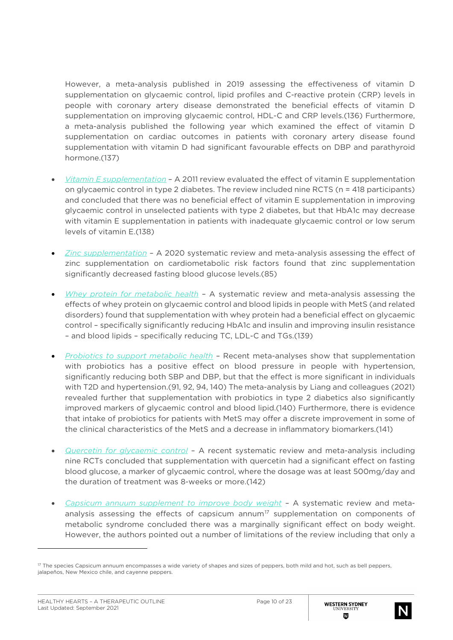However, a meta-analysis published in 2019 assessing the effectiveness of vitamin D supplementation on glycaemic control, lipid profiles and C-reactive protein (CRP) levels in people with coronary artery disease demonstrated the beneficial effects of vitamin D supplementation on improving glycaemic control, HDL-C and CRP levels.(136) Furthermore, a meta-analysis published the following year which examined the effect of vitamin D supplementation on cardiac outcomes in patients with coronary artery disease found supplementation with vitamin D had significant favourable effects on DBP and parathyroid hormone.(137)

- *Vitamin E supplementation* A 2011 review evaluated the effect of vitamin E supplementation on glycaemic control in type 2 diabetes. The review included nine RCTS (n = 418 participants) and concluded that there was no beneficial effect of vitamin E supplementation in improving glycaemic control in unselected patients with type 2 diabetes, but that HbA1c may decrease with vitamin E supplementation in patients with inadequate glycaemic control or low serum levels of vitamin E.(138)
- *Zinc supplementation* A 2020 systematic review and meta-analysis assessing the effect of zinc supplementation on cardiometabolic risk factors found that zinc supplementation significantly decreased fasting blood glucose levels.(85)
- *Whey protein for metabolic health* A systematic review and meta-analysis assessing the effects of whey protein on glycaemic control and blood lipids in people with MetS (and related disorders) found that supplementation with whey protein had a beneficial effect on glycaemic control – specifically significantly reducing HbA1c and insulin and improving insulin resistance – and blood lipids – specifically reducing TC, LDL-C and TGs.(139)
- *Probiotics to support metabolic health* Recent meta-analyses show that supplementation with probiotics has a positive effect on blood pressure in people with hypertension, significantly reducing both SBP and DBP, but that the effect is more significant in individuals with T2D and hypertension.(91, 92, 94, 140) The meta-analysis by Liang and colleagues (2021) revealed further that supplementation with probiotics in type 2 diabetics also significantly improved markers of glycaemic control and blood lipid.(140) Furthermore, there is evidence that intake of probiotics for patients with MetS may offer a discrete improvement in some of the clinical characteristics of the MetS and a decrease in inflammatory biomarkers.(141)
- *Quercetin for glycaemic control* A recent systematic review and meta-analysis including nine RCTs concluded that supplementation with quercetin had a significant effect on fasting blood glucose, a marker of glycaemic control, where the dosage was at least 500mg/day and the duration of treatment was 8-weeks or more.(142)
- *Capsicum annuum supplement to improve body weight* A systematic review and meta-analysis assessing the effects of capsicum annum<sup>[17](#page-9-0)</sup> supplementation on components of metabolic syndrome concluded there was a marginally significant effect on body weight. However, the authors pointed out a number of limitations of the review including that only a



<span id="page-9-0"></span><sup>&</sup>lt;sup>17</sup> The species Capsicum annuum encompasses a wide variety of shapes and sizes of peppers, both mild and hot, such as bell peppers, jalapeños, New Mexico chile, and cayenne peppers.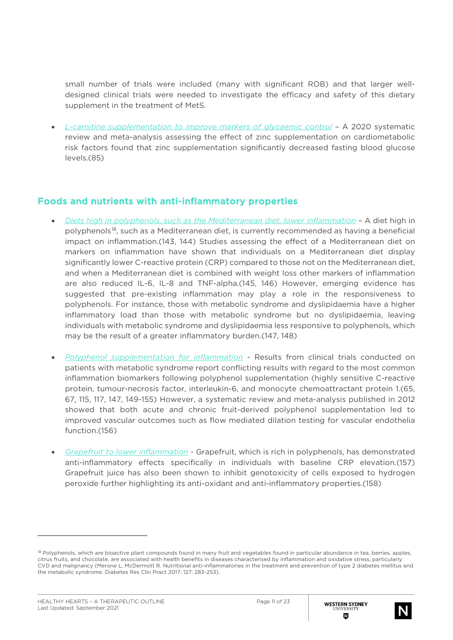small number of trials were included (many with significant ROB) and that larger welldesigned clinical trials were needed to investigate the efficacy and safety of this dietary supplement in the treatment of MetS.

• *L-carnitine supplementation to improve markers of glycaemic control* – A 2020 systematic review and meta-analysis assessing the effect of zinc supplementation on cardiometabolic risk factors found that zinc supplementation significantly decreased fasting blood glucose levels.(85)

#### Foods and nutrients with anti-inflammatory properties

- *Diets high in polyphenols, such as the Mediterranean diet, lower inflammation* A diet high in polyphenols[18](#page-10-0), such as a Mediterranean diet, is currently recommended as having a beneficial impact on inflammation.(143, 144) Studies assessing the effect of a Mediterranean diet on markers on inflammation have shown that individuals on a Mediterranean diet display significantly lower C-reactive protein (CRP) compared to those not on the Mediterranean diet, and when a Mediterranean diet is combined with weight loss other markers of inflammation are also reduced IL-6, IL-8 and TNF-alpha.(145, 146) However, emerging evidence has suggested that pre-existing inflammation may play a role in the responsiveness to polyphenols. For instance, those with metabolic syndrome and dyslipidaemia have a higher inflammatory load than those with metabolic syndrome but no dyslipidaemia, leaving individuals with metabolic syndrome and dyslipidaemia less responsive to polyphenols, which may be the result of a greater inflammatory burden.(147, 148)
- *Polyphenol supplementation for inflammation -* Results from clinical trials conducted on patients with metabolic syndrome report conflicting results with regard to the most common inflammation biomarkers following polyphenol supplementation (highly sensitive C-reactive protein, tumour-necrosis factor, interleukin-6, and monocyte chemoattractant protein 1.(65, 67, 115, 117, 147, 149-155) However, a systematic review and meta-analysis published in 2012 showed that both acute and chronic fruit-derived polyphenol supplementation led to improved vascular outcomes such as flow mediated dilation testing for vascular endothelia function.(156)
- *Grapefruit to lower inflammation -* Grapefruit, which is rich in polyphenols, has demonstrated anti-inflammatory effects specifically in individuals with baseline CRP elevation.(157) Grapefruit juice has also been shown to inhibit genotoxicity of cells exposed to hydrogen peroxide further highlighting its anti-oxidant and anti-inflammatory properties.(158)



<span id="page-10-0"></span><sup>&</sup>lt;sup>18</sup> Polyphenols, which are bioactive plant compounds found in many fruit and vegetables found in particular abundance in tea, berries, apples, citrus fruits, and chocolate, are associated with health benefits in diseases characterised by inflammation and oxidative stress, particularly CVD and malignancy (Merone L, McDermott R. Nutritional anti-inflammatories in the treatment and prevention of type 2 diabetes mellitus and the metabolic syndrome. Diabetes Res Clin Pract 2017; 127: 283-253).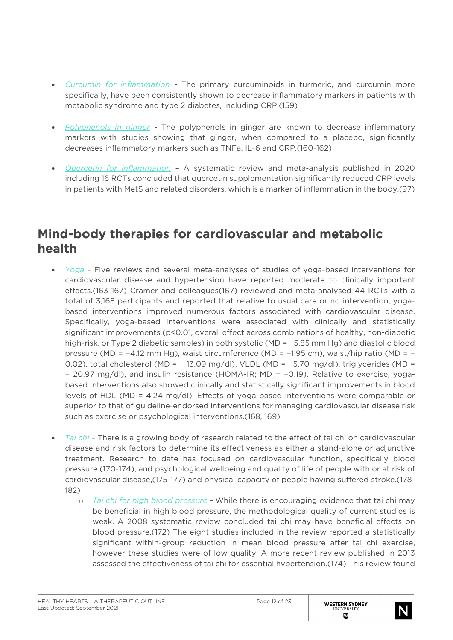- *Curcumin for inflammation* The primary curcuminoids in turmeric, and curcumin more specifically, have been consistently shown to decrease inflammatory markers in patients with metabolic syndrome and type 2 diabetes, including CRP.(159)
- *Polyphenols in ginger -* The polyphenols in ginger are known to decrease inflammatory markers with studies showing that ginger, when compared to a placebo, significantly decreases inflammatory markers such as TNFa, IL-6 and CRP.(160-162)
- *Quercetin for inflammation –* A systematic review and meta-analysis published in 2020 including 16 RCTs concluded that quercetin supplementation significantly reduced CRP levels in patients with MetS and related disorders, which is a marker of inflammation in the body.(97)

## Mind-body therapies for cardiovascular and metabolic health

- *Yoga -* Five reviews and several meta-analyses of studies of yoga-based interventions for cardiovascular disease and hypertension have reported moderate to clinically important effects.(163-167) Cramer and colleagues(167) reviewed and meta-analysed 44 RCTs with a total of 3,168 participants and reported that relative to usual care or no intervention, yogabased interventions improved numerous factors associated with cardiovascular disease. Specifically, yoga-based interventions were associated with clinically and statistically significant improvements (p<0.01, overall effect across combinations of healthy, non-diabetic high-risk, or Type 2 diabetic samples) in both systolic (MD = −5.85 mm Hg) and diastolic blood pressure (MD = −4.12 mm Hg), waist circumference (MD = −1.95 cm), waist/hip ratio (MD = − 0.02), total cholesterol (MD = − 13.09 mg/dl), VLDL (MD = −5.70 mg/dl), triglycerides (MD = − 20.97 mg/dl), and insulin resistance (HOMA-IR; MD = −0.19). Relative to exercise, yogabased interventions also showed clinically and statistically significant improvements in blood levels of HDL (MD = 4.24 mg/dl). Effects of yoga-based interventions were comparable or superior to that of guideline-endorsed interventions for managing cardiovascular disease risk such as exercise or psychological interventions.(168, 169)
- *Tai chi –* There is a growing body of research related to the effect of tai chi on cardiovascular disease and risk factors to determine its effectiveness as either a stand-alone or adjunctive treatment. Research to date has focused on cardiovascular function, specifically blood pressure (170-174), and psychological wellbeing and quality of life of people with or at risk of cardiovascular disease,(175-177) and physical capacity of people having suffered stroke.(178- 182)
	- o *Tai chi for high blood pressure* While there is encouraging evidence that tai chi may be beneficial in high blood pressure, the methodological quality of current studies is weak. A 2008 systematic review concluded tai chi may have beneficial effects on blood pressure.(172) The eight studies included in the review reported a statistically significant within-group reduction in mean blood pressure after tai chi exercise, however these studies were of low quality. A more recent review published in 2013 assessed the effectiveness of tai chi for essential hypertension.(174) This review found

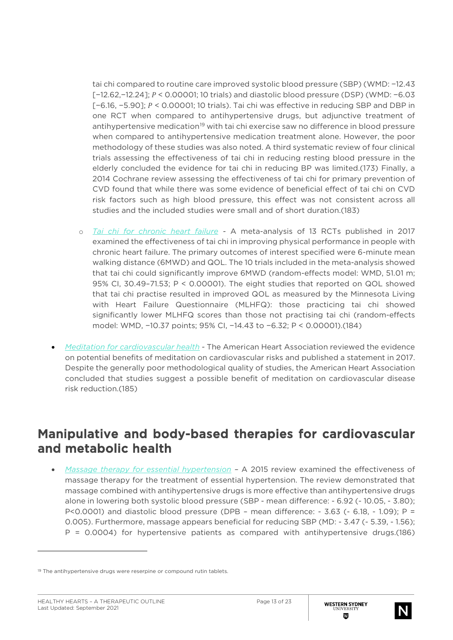tai chi compared to routine care improved systolic blood pressure (SBP) (WMD: −12.43 [−12.62,−12.24]; < 0.00001; 10 trials) and diastolic blood pressure (DSP) (WMD: −6.03 [−6.16, −5.90]; < 0.00001; 10 trials). Tai chi was effective in reducing SBP and DBP in one RCT when compared to antihypertensive drugs, but adjunctive treatment of antihypertensive medication<sup>[19](#page-12-0)</sup> with tai chi exercise saw no difference in blood pressure when compared to antihypertensive medication treatment alone. However, the poor methodology of these studies was also noted. A third systematic review of four clinical trials assessing the effectiveness of tai chi in reducing resting blood pressure in the elderly concluded the evidence for tai chi in reducing BP was limited.(173) Finally, a 2014 Cochrane review assessing the effectiveness of tai chi for primary prevention of CVD found that while there was some evidence of beneficial effect of tai chi on CVD risk factors such as high blood pressure, this effect was not consistent across all studies and the included studies were small and of short duration.(183)

- o *Tai chi for chronic heart failure* A meta-analysis of 13 RCTs published in 2017 examined the effectiveness of tai chi in improving physical performance in people with chronic heart failure. The primary outcomes of interest specified were 6-minute mean walking distance (6MWD) and QOL. The 10 trials included in the meta-analysis showed that tai chi could significantly improve 6MWD (random-effects model: WMD, 51.01 m; 95% CI, 30.49–71.53; P < 0.00001). The eight studies that reported on QOL showed that tai chi practise resulted in improved QOL as measured by the Minnesota Living with Heart Failure Questionnaire (MLHFQ): those practicing tai chi showed significantly lower MLHFQ scores than those not practising tai chi (random-effects model: WMD, −10.37 points; 95% CI, −14.43 to −6.32; P < 0.00001).(184)
- *Meditation for cardiovascular health* The American Heart Association reviewed the evidence on potential benefits of meditation on cardiovascular risks and published a statement in 2017. Despite the generally poor methodological quality of studies, the American Heart Association concluded that studies suggest a possible benefit of meditation on cardiovascular disease risk reduction.(185)

### Manipulative and body-based therapies for cardiovascular and metabolic health

• *Massage therapy for essential hypertension –* A 2015 review examined the effectiveness of massage therapy for the treatment of essential hypertension. The review demonstrated that massage combined with antihypertensive drugs is more effective than antihypertensive drugs alone in lowering both systolic blood pressure (SBP - mean difference: - 6.92 (- 10.05, - 3.80);  $P<0.0001$ ) and diastolic blood pressure (DPB - mean difference: - 3.63 (- 6.18, - 1.09); P = 0.005). Furthermore, massage appears beneficial for reducing SBP (MD: - 3.47 (- 5.39, - 1.56); P = 0.0004) for hypertensive patients as compared with antihypertensive drugs.(186)



<span id="page-12-0"></span><sup>&</sup>lt;sup>19</sup> The antihypertensive drugs were reserpine or compound rutin tablets.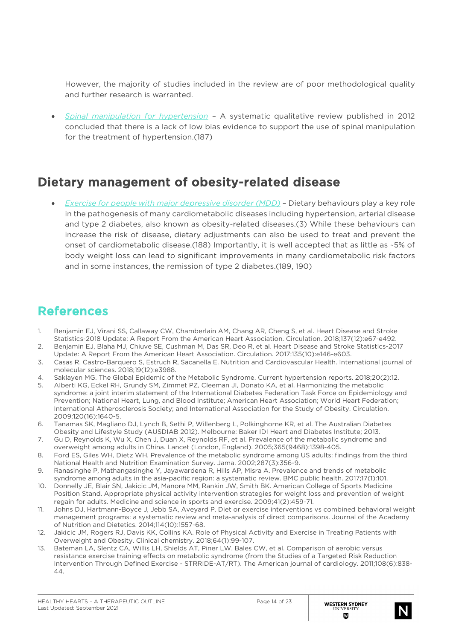However, the majority of studies included in the review are of poor methodological quality and further research is warranted.

• *Spinal manipulation for hypertension –* A systematic qualitative review published in 2012 concluded that there is a lack of low bias evidence to support the use of spinal manipulation for the treatment of hypertension.(187)

## Dietary management of obesity-related disease

• *Exercise for people with major depressive disorder (MDD) –* Dietary behaviours play a key role in the pathogenesis of many cardiometabolic diseases including hypertension, arterial disease and type 2 diabetes, also known as obesity-related diseases.(3) While these behaviours can increase the risk of disease, dietary adjustments can also be used to treat and prevent the onset of cardiometabolic disease.(188) Importantly, it is well accepted that as little as ~5% of body weight loss can lead to significant improvements in many cardiometabolic risk factors and in some instances, the remission of type 2 diabetes.(189, 190)

#### References

- 1. Benjamin EJ, Virani SS, Callaway CW, Chamberlain AM, Chang AR, Cheng S, et al. Heart Disease and Stroke Statistics-2018 Update: A Report From the American Heart Association. Circulation. 2018;137(12):e67-e492. 2. Benjamin EJ, Blaha MJ, Chiuve SE, Cushman M, Das SR, Deo R, et al. Heart Disease and Stroke Statistics-2017
- Update: A Report From the American Heart Association. Circulation. 2017;135(10):e146-e603.
- 3. Casas R, Castro-Barquero S, Estruch R, Sacanella E. Nutrition and Cardiovascular Health. International journal of molecular sciences. 2018;19(12):e3988.
- 4. Saklayen MG. The Global Epidemic of the Metabolic Syndrome. Current hypertension reports. 2018;20(2):12.
- 5. Alberti KG, Eckel RH, Grundy SM, Zimmet PZ, Cleeman JI, Donato KA, et al. Harmonizing the metabolic syndrome: a joint interim statement of the International Diabetes Federation Task Force on Epidemiology and Prevention; National Heart, Lung, and Blood Institute; American Heart Association; World Heart Federation; International Atherosclerosis Society; and International Association for the Study of Obesity. Circulation. 2009;120(16):1640-5.
- 6. Tanamas SK, Magliano DJ, Lynch B, Sethi P, Willenberg L, Polkinghorne KR, et al. The Australian Diabetes Obesity and Lifestyle Study (AUSDIAB 2012). Melbourne: Baker IDI Heart and Diabetes Institute; 2013.
- 7. Gu D, Reynolds K, Wu X, Chen J, Duan X, Reynolds RF, et al. Prevalence of the metabolic syndrome and overweight among adults in China. Lancet (London, England). 2005;365(9468):1398-405.
- 8. Ford ES, Giles WH, Dietz WH. Prevalence of the metabolic syndrome among US adults: findings from the third National Health and Nutrition Examination Survey. Jama. 2002;287(3):356-9.
- 9. Ranasinghe P, Mathangasinghe Y, Jayawardena R, Hills AP, Misra A. Prevalence and trends of metabolic syndrome among adults in the asia-pacific region: a systematic review. BMC public health. 2017;17(1):101.
- 10. Donnelly JE, Blair SN, Jakicic JM, Manore MM, Rankin JW, Smith BK. American College of Sports Medicine Position Stand. Appropriate physical activity intervention strategies for weight loss and prevention of weight regain for adults. Medicine and science in sports and exercise. 2009;41(2):459-71.
- 11. Johns DJ, Hartmann-Boyce J, Jebb SA, Aveyard P. Diet or exercise interventions vs combined behavioral weight management programs: a systematic review and meta-analysis of direct comparisons. Journal of the Academy of Nutrition and Dietetics. 2014;114(10):1557-68.
- 12. Jakicic JM, Rogers RJ, Davis KK, Collins KA. Role of Physical Activity and Exercise in Treating Patients with Overweight and Obesity. Clinical chemistry. 2018;64(1):99-107.
- 13. Bateman LA, Slentz CA, Willis LH, Shields AT, Piner LW, Bales CW, et al. Comparison of aerobic versus resistance exercise training effects on metabolic syndrome (from the Studies of a Targeted Risk Reduction Intervention Through Defined Exercise - STRRIDE-AT/RT). The American journal of cardiology. 2011;108(6):838- 44.

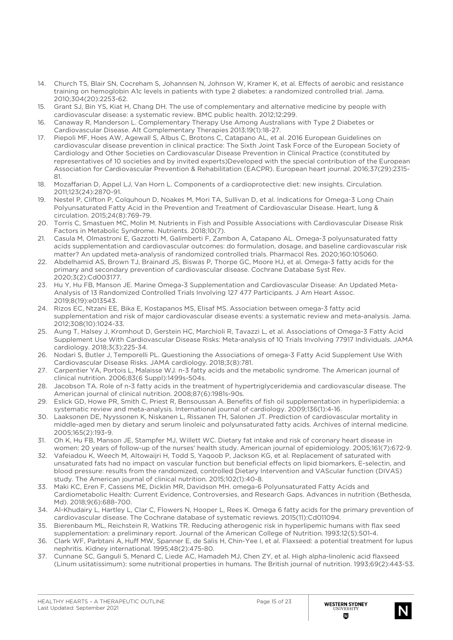- 14. Church TS, Blair SN, Cocreham S, Johannsen N, Johnson W, Kramer K, et al. Effects of aerobic and resistance training on hemoglobin A1c levels in patients with type 2 diabetes: a randomized controlled trial. Jama. 2010;304(20):2253-62.
- 15. Grant SJ, Bin YS, Kiat H, Chang DH. The use of complementary and alternative medicine by people with cardiovascular disease: a systematic review. BMC public health. 2012;12:299.
- 16. Canaway R, Manderson L. Complementary Therapy Use Among Australians with Type 2 Diabetes or Cardiovascular Disease. Alt Complementary Therapies 2013;19(1):18-27.
- 17. Piepoli MF, Hoes AW, Agewall S, Albus C, Brotons C, Catapano AL, et al. 2016 European Guidelines on cardiovascular disease prevention in clinical practice: The Sixth Joint Task Force of the European Society of Cardiology and Other Societies on Cardiovascular Disease Prevention in Clinical Practice (constituted by representatives of 10 societies and by invited experts)Developed with the special contribution of the European Association for Cardiovascular Prevention & Rehabilitation (EACPR). European heart journal. 2016;37(29):2315- 81.
- 18. Mozaffarian D, Appel LJ, Van Horn L. Components of a cardioprotective diet: new insights. Circulation. 2011;123(24):2870-91.
- 19. Nestel P, Clifton P, Colquhoun D, Noakes M, Mori TA, Sullivan D, et al. Indications for Omega-3 Long Chain Polyunsaturated Fatty Acid in the Prevention and Treatment of Cardiovascular Disease. Heart, lung & circulation. 2015;24(8):769-79.
- 20. Torris C, Smastuen MC, Molin M. Nutrients in Fish and Possible Associations with Cardiovascular Disease Risk Factors in Metabolic Syndrome. Nutrients. 2018;10(7).
- 21. Casula M, Olmastroni E, Gazzotti M, Galimberti F, Zambon A, Catapano AL. Omega-3 polyunsaturated fatty acids supplementation and cardiovascular outcomes: do formulation, dosage, and baseline cardiovascular risk matter? An updated meta-analysis of randomized controlled trials. Pharmacol Res. 2020;160:105060.
- 22. Abdelhamid AS, Brown TJ, Brainard JS, Biswas P, Thorpe GC, Moore HJ, et al. Omega-3 fatty acids for the primary and secondary prevention of cardiovascular disease. Cochrane Database Syst Rev. 2020;3(2):Cd003177.
- 23. Hu Y, Hu FB, Manson JE. Marine Omega-3 Supplementation and Cardiovascular Disease: An Updated Meta-Analysis of 13 Randomized Controlled Trials Involving 127 477 Participants. J Am Heart Assoc. 2019;8(19):e013543.
- 24. Rizos EC, Ntzani EE, Bika E, Kostapanos MS, Elisaf MS. Association between omega-3 fatty acid supplementation and risk of major cardiovascular disease events: a systematic review and meta-analysis. Jama. 2012;308(10):1024-33.
- 25. Aung T, Halsey J, Kromhout D, Gerstein HC, Marchioli R, Tavazzi L, et al. Associations of Omega-3 Fatty Acid Supplement Use With Cardiovascular Disease Risks: Meta-analysis of 10 Trials Involving 77917 Individuals. JAMA cardiology. 2018;3(3):225-34.
- 26. Nodari S, Butler J, Temporelli PL. Questioning the Associations of omega-3 Fatty Acid Supplement Use With Cardiovascular Disease Risks. JAMA cardiology. 2018;3(8):781.
- 27. Carpentier YA, Portois L, Malaisse WJ. n-3 fatty acids and the metabolic syndrome. The American journal of clinical nutrition. 2006;83(6 Suppl):1499s-504s.
- 28. Jacobson TA. Role of n-3 fatty acids in the treatment of hypertriglyceridemia and cardiovascular disease. The American journal of clinical nutrition. 2008;87(6):1981s-90s.
- 29. Eslick GD, Howe PR, Smith C, Priest R, Bensoussan A. Benefits of fish oil supplementation in hyperlipidemia: a systematic review and meta-analysis. International journal of cardiology. 2009;136(1):4-16.
- 30. Laaksonen DE, Nyyssonen K, Niskanen L, Rissanen TH, Salonen JT. Prediction of cardiovascular mortality in middle-aged men by dietary and serum linoleic and polyunsaturated fatty acids. Archives of internal medicine. 2005;165(2):193-9.
- 31. Oh K, Hu FB, Manson JE, Stampfer MJ, Willett WC. Dietary fat intake and risk of coronary heart disease in women: 20 years of follow-up of the nurses' health study. American journal of epidemiology. 2005;161(7):672-9.
- 32. Vafeiadou K, Weech M, Altowaijri H, Todd S, Yaqoob P, Jackson KG, et al. Replacement of saturated with unsaturated fats had no impact on vascular function but beneficial effects on lipid biomarkers, E-selectin, and blood pressure: results from the randomized, controlled Dietary Intervention and VAScular function (DIVAS) study. The American journal of clinical nutrition. 2015;102(1):40-8.
- 33. Maki KC, Eren F, Cassens ME, Dicklin MR, Davidson MH. omega-6 Polyunsaturated Fatty Acids and Cardiometabolic Health: Current Evidence, Controversies, and Research Gaps. Advances in nutrition (Bethesda, Md). 2018;9(6):688-700.
- 34. Al-Khudairy L, Hartley L, Clar C, Flowers N, Hooper L, Rees K. Omega 6 fatty acids for the primary prevention of cardiovascular disease. The Cochrane database of systematic reviews. 2015(11):Cd011094.
- 35. Bierenbaum ML, Reichstein R, Watkins TR. Reducing atherogenic risk in hyperlipemic humans with flax seed supplementation: a preliminary report. Journal of the American College of Nutrition. 1993;12(5):501-4.
- 36. Clark WF, Parbtani A, Huff MW, Spanner E, de Salis H, Chin-Yee I, et al. Flaxseed: a potential treatment for lupus nephritis. Kidney international. 1995;48(2):475-80.
- 37. Cunnane SC, Ganguli S, Menard C, Liede AC, Hamadeh MJ, Chen ZY, et al. High alpha-linolenic acid flaxseed (Linum usitatissimum): some nutritional properties in humans. The British journal of nutrition. 1993;69(2):443-53.

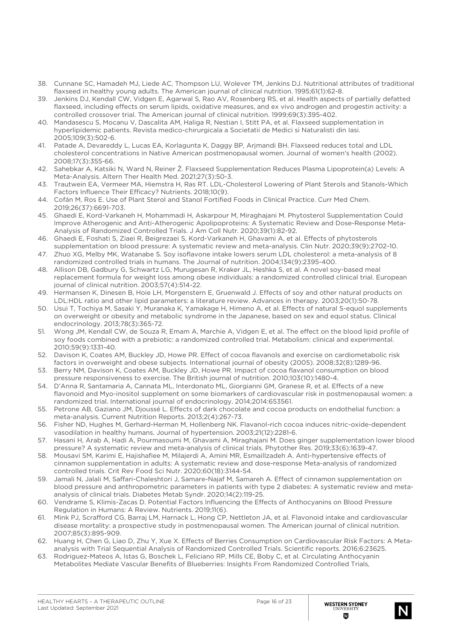- 38. Cunnane SC, Hamadeh MJ, Liede AC, Thompson LU, Wolever TM, Jenkins DJ. Nutritional attributes of traditional flaxseed in healthy young adults. The American journal of clinical nutrition. 1995;61(1):62-8.
- 39. Jenkins DJ, Kendall CW, Vidgen E, Agarwal S, Rao AV, Rosenberg RS, et al. Health aspects of partially defatted flaxseed, including effects on serum lipids, oxidative measures, and ex vivo androgen and progestin activity: a controlled crossover trial. The American journal of clinical nutrition. 1999;69(3):395-402.
- 40. Mandasescu S, Mocanu V, Dascalita AM, Haliga R, Nestian I, Stitt PA, et al. Flaxseed supplementation in hyperlipidemic patients. Revista medico-chirurgicala a Societatii de Medici si Naturalisti din Iasi. 2005;109(3):502-6.
- 41. Patade A, Devareddy L, Lucas EA, Korlagunta K, Daggy BP, Arjmandi BH. Flaxseed reduces total and LDL cholesterol concentrations in Native American postmenopausal women. Journal of women's health (2002). 2008;17(3):355-66.
- 42. Sahebkar A, Katsiki N, Ward N, Reiner Ž. Flaxseed Supplementation Reduces Plasma Lipoprotein(a) Levels: A Meta-Analysis. Altern Ther Health Med. 2021;27(3):50-3.
- 43. Trautwein EA, Vermeer MA, Hiemstra H, Ras RT. LDL-Cholesterol Lowering of Plant Sterols and Stanols-Which Factors Influence Their Efficacy? Nutrients. 2018;10(9).
- 44. Cofán M, Ros E. Use of Plant Sterol and Stanol Fortified Foods in Clinical Practice. Curr Med Chem. 2019;26(37):6691-703.
- 45. Ghaedi E, Kord-Varkaneh H, Mohammadi H, Askarpour M, Miraghajani M. Phytosterol Supplementation Could Improve Atherogenic and Anti-Atherogenic Apolipoproteins: A Systematic Review and Dose-Response Meta-Analysis of Randomized Controlled Trials. J Am Coll Nutr. 2020;39(1):82-92.
- 46. Ghaedi E, Foshati S, Ziaei R, Beigrezaei S, Kord-Varkaneh H, Ghavami A, et al. Effects of phytosterols supplementation on blood pressure: A systematic review and meta-analysis. Clin Nutr. 2020;39(9):2702-10.
- 47. Zhuo XG, Melby MK, Watanabe S. Soy isoflavone intake lowers serum LDL cholesterol: a meta-analysis of 8 randomized controlled trials in humans. The Journal of nutrition. 2004;134(9):2395-400.
- 48. Allison DB, Gadbury G, Schwartz LG, Murugesan R, Kraker JL, Heshka S, et al. A novel soy-based meal replacement formula for weight loss among obese individuals: a randomized controlled clinical trial. European journal of clinical nutrition. 2003;57(4):514-22.
- 49. Hermansen K, Dinesen B, Hoie LH, Morgenstern E, Gruenwald J. Effects of soy and other natural products on LDL:HDL ratio and other lipid parameters: a literature review. Advances in therapy. 2003;20(1):50-78.
- 50. Usui T, Tochiya M, Sasaki Y, Muranaka K, Yamakage H, Himeno A, et al. Effects of natural S-equol supplements on overweight or obesity and metabolic syndrome in the Japanese, based on sex and equol status. Clinical endocrinology. 2013;78(3):365-72.
- 51. Wong JM, Kendall CW, de Souza R, Emam A, Marchie A, Vidgen E, et al. The effect on the blood lipid profile of soy foods combined with a prebiotic: a randomized controlled trial. Metabolism: clinical and experimental. 2010;59(9):1331-40.
- 52. Davison K, Coates AM, Buckley JD, Howe PR. Effect of cocoa flavanols and exercise on cardiometabolic risk factors in overweight and obese subjects. International journal of obesity (2005). 2008;32(8):1289-96.
- 53. Berry NM, Davison K, Coates AM, Buckley JD, Howe PR. Impact of cocoa flavanol consumption on blood pressure responsiveness to exercise. The British journal of nutrition. 2010;103(10):1480-4.
- 54. D'Anna R, Santamaria A, Cannata ML, Interdonato ML, Giorgianni GM, Granese R, et al. Effects of a new flavonoid and Myo-inositol supplement on some biomarkers of cardiovascular risk in postmenopausal women: a randomized trial. International journal of endocrinology. 2014;2014:653561.
- 55. Petrone AB, Gaziano JM, Djoussé L. Effects of dark chocolate and cocoa products on endothelial function: a meta-analysis. Current Nutrition Reports. 2013;2(4):267-73.
- 56. Fisher ND, Hughes M, Gerhard-Herman M, Hollenberg NK. Flavanol-rich cocoa induces nitric-oxide-dependent vasodilation in healthy humans. Journal of hypertension. 2003;21(12):2281-6.
- 57. Hasani H, Arab A, Hadi A, Pourmasoumi M, Ghavami A, Miraghajani M. Does ginger supplementation lower blood pressure? A systematic review and meta-analysis of clinical trials. Phytother Res. 2019;33(6):1639-47.
- 58. Mousavi SM, Karimi E, Hajishafiee M, Milajerdi A, Amini MR, Esmaillzadeh A. Anti-hypertensive effects of cinnamon supplementation in adults: A systematic review and dose-response Meta-analysis of randomized controlled trials. Crit Rev Food Sci Nutr. 2020;60(18):3144-54.
- 59. Jamali N, Jalali M, Saffari-Chaleshtori J, Samare-Najaf M, Samareh A. Effect of cinnamon supplementation on blood pressure and anthropometric parameters in patients with type 2 diabetes: A systematic review and metaanalysis of clinical trials. Diabetes Metab Syndr. 2020;14(2):119-25.
- 60. Vendrame S, Klimis-Zacas D. Potential Factors Influencing the Effects of Anthocyanins on Blood Pressure Regulation in Humans: A Review. Nutrients. 2019;11(6).
- 61. Mink PJ, Scrafford CG, Barraj LM, Harnack L, Hong CP, Nettleton JA, et al. Flavonoid intake and cardiovascular disease mortality: a prospective study in postmenopausal women. The American journal of clinical nutrition. 2007;85(3):895-909.
- 62. Huang H, Chen G, Liao D, Zhu Y, Xue X. Effects of Berries Consumption on Cardiovascular Risk Factors: A Metaanalysis with Trial Sequential Analysis of Randomized Controlled Trials. Scientific reports. 2016;6:23625.
- 63. Rodriguez-Mateos A, Istas G, Boschek L, Feliciano RP, Mills CE, Boby C, et al. Circulating Anthocyanin Metabolites Mediate Vascular Benefits of Blueberries: Insights From Randomized Controlled Trials,

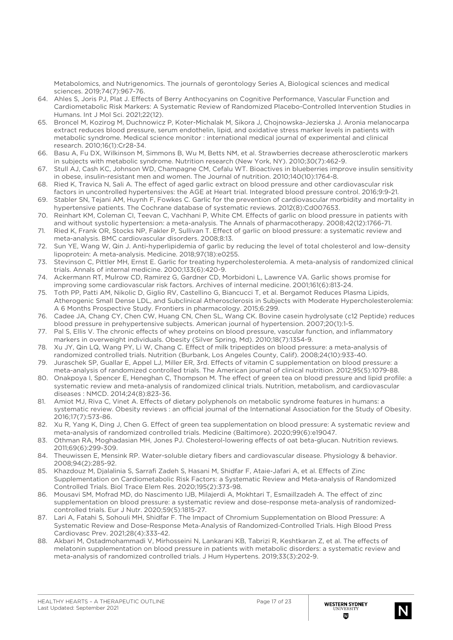Metabolomics, and Nutrigenomics. The journals of gerontology Series A, Biological sciences and medical sciences. 2019;74(7):967-76.

- 64. Ahles S, Joris PJ, Plat J. Effects of Berry Anthocyanins on Cognitive Performance, Vascular Function and Cardiometabolic Risk Markers: A Systematic Review of Randomized Placebo-Controlled Intervention Studies in Humans. Int J Mol Sci. 2021;22(12).
- 65. Broncel M, Kozirog M, Duchnowicz P, Koter-Michalak M, Sikora J, Chojnowska-Jezierska J. Aronia melanocarpa extract reduces blood pressure, serum endothelin, lipid, and oxidative stress marker levels in patients with metabolic syndrome. Medical science monitor : international medical journal of experimental and clinical research. 2010;16(1):Cr28-34.
- 66. Basu A, Fu DX, Wilkinson M, Simmons B, Wu M, Betts NM, et al. Strawberries decrease atherosclerotic markers in subjects with metabolic syndrome. Nutrition research (New York, NY). 2010;30(7):462-9.
- 67. Stull AJ, Cash KC, Johnson WD, Champagne CM, Cefalu WT. Bioactives in blueberries improve insulin sensitivity in obese, insulin-resistant men and women. The Journal of nutrition. 2010;140(10):1764-8.
- 68. Ried K, Travica N, Sali A. The effect of aged garlic extract on blood pressure and other cardiovascular risk factors in uncontrolled hypertensives: the AGE at Heart trial. Integrated blood pressure control. 2016;9:9-21.
- 69. Stabler SN, Tejani AM, Huynh F, Fowkes C. Garlic for the prevention of cardiovascular morbidity and mortality in hypertensive patients. The Cochrane database of systematic reviews. 2012(8):Cd007653.
- 70. Reinhart KM, Coleman CI, Teevan C, Vachhani P, White CM. Effects of garlic on blood pressure in patients with and without systolic hypertension: a meta-analysis. The Annals of pharmacotherapy. 2008;42(12):1766-71.
- 71. Ried K, Frank OR, Stocks NP, Fakler P, Sullivan T. Effect of garlic on blood pressure: a systematic review and meta-analysis. BMC cardiovascular disorders. 2008;8:13.
- 72. Sun YE, Wang W, Qin J. Anti-hyperlipidemia of garlic by reducing the level of total cholesterol and low-density lipoprotein: A meta-analysis. Medicine. 2018;97(18):e0255.
- 73. Stevinson C, Pittler MH, Ernst E. Garlic for treating hypercholesterolemia. A meta-analysis of randomized clinical trials. Annals of internal medicine. 2000;133(6):420-9.
- 74. Ackermann RT, Mulrow CD, Ramirez G, Gardner CD, Morbidoni L, Lawrence VA. Garlic shows promise for improving some cardiovascular risk factors. Archives of internal medicine. 2001;161(6):813-24.
- 75. Toth PP, Patti AM, Nikolic D, Giglio RV, Castellino G, Biancucci T, et al. Bergamot Reduces Plasma Lipids, Atherogenic Small Dense LDL, and Subclinical Atherosclerosis in Subjects with Moderate Hypercholesterolemia: A 6 Months Prospective Study. Frontiers in pharmacology. 2015;6:299.
- 76. Cadee JA, Chang CY, Chen CW, Huang CN, Chen SL, Wang CK. Bovine casein hydrolysate (c12 Peptide) reduces blood pressure in prehypertensive subjects. American journal of hypertension. 2007;20(1):1-5.
- 77. Pal S, Ellis V. The chronic effects of whey proteins on blood pressure, vascular function, and inflammatory markers in overweight individuals. Obesity (Silver Spring, Md). 2010;18(7):1354-9.
- 78. Xu JY, Qin LQ, Wang PY, Li W, Chang C. Effect of milk tripeptides on blood pressure: a meta-analysis of randomized controlled trials. Nutrition (Burbank, Los Angeles County, Calif). 2008;24(10):933-40.
- 79. Juraschek SP, Guallar E, Appel LJ, Miller ER, 3rd. Effects of vitamin C supplementation on blood pressure: a meta-analysis of randomized controlled trials. The American journal of clinical nutrition. 2012;95(5):1079-88.
- 80. Onakpoya I, Spencer E, Heneghan C, Thompson M. The effect of green tea on blood pressure and lipid profile: a systematic review and meta-analysis of randomized clinical trials. Nutrition, metabolism, and cardiovascular diseases : NMCD. 2014;24(8):823-36.
- 81. Amiot MJ, Riva C, Vinet A. Effects of dietary polyphenols on metabolic syndrome features in humans: a systematic review. Obesity reviews : an official journal of the International Association for the Study of Obesity. 2016;17(7):573-86.
- 82. Xu R, Yang K, Ding J, Chen G. Effect of green tea supplementation on blood pressure: A systematic review and meta-analysis of randomized controlled trials. Medicine (Baltimore). 2020;99(6):e19047.
- 83. Othman RA, Moghadasian MH, Jones PJ. Cholesterol-lowering effects of oat beta-glucan. Nutrition reviews. 2011;69(6):299-309.
- 84. Theuwissen E, Mensink RP. Water-soluble dietary fibers and cardiovascular disease. Physiology & behavior. 2008;94(2):285-92.
- 85. Khazdouz M, Djalalinia S, Sarrafi Zadeh S, Hasani M, Shidfar F, Ataie-Jafari A, et al. Effects of Zinc Supplementation on Cardiometabolic Risk Factors: a Systematic Review and Meta-analysis of Randomized Controlled Trials. Biol Trace Elem Res. 2020;195(2):373-98.
- 86. Mousavi SM, Mofrad MD, do Nascimento IJB, Milajerdi A, Mokhtari T, Esmaillzadeh A. The effect of zinc supplementation on blood pressure: a systematic review and dose-response meta-analysis of randomizedcontrolled trials. Eur J Nutr. 2020;59(5):1815-27.
- 87. Lari A, Fatahi S, Sohouli MH, Shidfar F. The Impact of Chromium Supplementation on Blood Pressure: A Systematic Review and Dose-Response Meta‑Analysis of Randomized‑Controlled Trials. High Blood Press Cardiovasc Prev. 2021;28(4):333-42.
- 88. Akbari M, Ostadmohammadi V, Mirhosseini N, Lankarani KB, Tabrizi R, Keshtkaran Z, et al. The effects of melatonin supplementation on blood pressure in patients with metabolic disorders: a systematic review and meta-analysis of randomized controlled trials. J Hum Hypertens. 2019;33(3):202-9.

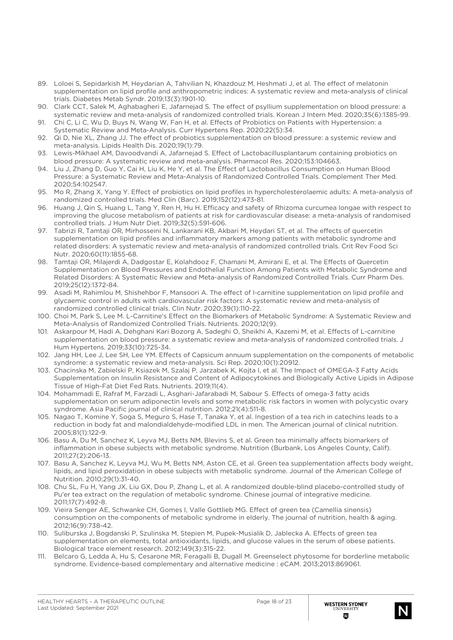- 89. Loloei S, Sepidarkish M, Heydarian A, Tahvilian N, Khazdouz M, Heshmati J, et al. The effect of melatonin supplementation on lipid profile and anthropometric indices: A systematic review and meta-analysis of clinical trials. Diabetes Metab Syndr. 2019;13(3):1901-10.
- 90. Clark CCT, Salek M, Aghabagheri E, Jafarnejad S. The effect of psyllium supplementation on blood pressure: a systematic review and meta-analysis of randomized controlled trials. Korean J Intern Med. 2020;35(6):1385-99.
- 91. Chi C, Li C, Wu D, Buys N, Wang W, Fan H, et al. Effects of Probiotics on Patients with Hypertension: a Systematic Review and Meta-Analysis. Curr Hypertens Rep. 2020;22(5):34.
- 92. Qi D, Nie XL, Zhang JJ. The effect of probiotics supplementation on blood pressure: a systemic review and meta-analysis. Lipids Health Dis. 2020;19(1):79.
- 93. Lewis-Mikhael AM, Davoodvandi A, Jafarnejad S. Effect of Lactobacillusplantarum containing probiotics on blood pressure: A systematic review and meta-analysis. Pharmacol Res. 2020;153:104663.
- 94. Liu J, Zhang D, Guo Y, Cai H, Liu K, He Y, et al. The Effect of Lactobacillus Consumption on Human Blood Pressure: a Systematic Review and Meta-Analysis of Randomized Controlled Trials. Complement Ther Med. 2020;54:102547.
- 95. Mo R, Zhang X, Yang Y. Effect of probiotics on lipid profiles in hypercholesterolaemic adults: A meta-analysis of randomized controlled trials. Med Clin (Barc). 2019;152(12):473-81.
- 96. Huang J, Qin S, Huang L, Tang Y, Ren H, Hu H. Efficacy and safety of Rhizoma curcumea longae with respect to improving the glucose metabolism of patients at risk for cardiovascular disease: a meta-analysis of randomised controlled trials. J Hum Nutr Diet. 2019;32(5):591-606.
- 97. Tabrizi R, Tamtaji OR, Mirhosseini N, Lankarani KB, Akbari M, Heydari ST, et al. The effects of quercetin supplementation on lipid profiles and inflammatory markers among patients with metabolic syndrome and related disorders: A systematic review and meta-analysis of randomized controlled trials. Crit Rev Food Sci Nutr. 2020;60(11):1855-68.
- 98. Tamtaji OR, Milajerdi A, Dadgostar E, Kolahdooz F, Chamani M, Amirani E, et al. The Effects of Quercetin Supplementation on Blood Pressures and Endothelial Function Among Patients with Metabolic Syndrome and Related Disorders: A Systematic Review and Meta-analysis of Randomized Controlled Trials. Curr Pharm Des. 2019;25(12):1372-84.
- 99. Asadi M, Rahimlou M, Shishehbor F, Mansoori A. The effect of l-carnitine supplementation on lipid profile and glycaemic control in adults with cardiovascular risk factors: A systematic review and meta-analysis of randomized controlled clinical trials. Clin Nutr. 2020;39(1):110-22.
- 100. Choi M, Park S, Lee M. L-Carnitine's Effect on the Biomarkers of Metabolic Syndrome: A Systematic Review and Meta-Analysis of Randomized Controlled Trials. Nutrients. 2020;12(9).
- 101. Askarpour M, Hadi A, Dehghani Kari Bozorg A, Sadeghi O, Sheikhi A, Kazemi M, et al. Effects of L-carnitine supplementation on blood pressure: a systematic review and meta-analysis of randomized controlled trials. J Hum Hypertens. 2019;33(10):725-34.
- 102. Jang HH, Lee J, Lee SH, Lee YM. Effects of Capsicum annuum supplementation on the components of metabolic syndrome: a systematic review and meta-analysis. Sci Rep. 2020;10(1):20912.
- 103. Chacinska M, Zabielski P, Ksiazek M, Szalaj P, Jarzabek K, Kojta I, et al. The Impact of OMEGA-3 Fatty Acids Supplementation on Insulin Resistance and Content of Adipocytokines and Biologically Active Lipids in Adipose Tissue of High-Fat Diet Fed Rats. Nutrients. 2019;11(4).
- 104. Mohammadi E, Rafraf M, Farzadi L, Asghari-Jafarabadi M, Sabour S. Effects of omega-3 fatty acids supplementation on serum adiponectin levels and some metabolic risk factors in women with polycystic ovary syndrome. Asia Pacific journal of clinical nutrition. 2012;21(4):511-8.
- 105. Nagao T, Komine Y, Soga S, Meguro S, Hase T, Tanaka Y, et al. Ingestion of a tea rich in catechins leads to a reduction in body fat and malondialdehyde-modified LDL in men. The American journal of clinical nutrition. 2005;81(1):122-9.
- 106. Basu A, Du M, Sanchez K, Leyva MJ, Betts NM, Blevins S, et al. Green tea minimally affects biomarkers of inflammation in obese subjects with metabolic syndrome. Nutrition (Burbank, Los Angeles County, Calif). 2011;27(2):206-13.
- 107. Basu A, Sanchez K, Leyva MJ, Wu M, Betts NM, Aston CE, et al. Green tea supplementation affects body weight, lipids, and lipid peroxidation in obese subjects with metabolic syndrome. Journal of the American College of Nutrition. 2010;29(1):31-40.
- 108. Chu SL, Fu H, Yang JX, Liu GX, Dou P, Zhang L, et al. A randomized double-blind placebo-controlled study of Pu'er tea extract on the regulation of metabolic syndrome. Chinese journal of integrative medicine. 2011;17(7):492-8.
- 109. Vieira Senger AE, Schwanke CH, Gomes I, Valle Gottlieb MG. Effect of green tea (Camellia sinensis) consumption on the components of metabolic syndrome in elderly. The journal of nutrition, health & aging. 2012;16(9):738-42.
- 110. Suliburska J, Bogdanski P, Szulinska M, Stepien M, Pupek-Musialik D, Jablecka A. Effects of green tea supplementation on elements, total antioxidants, lipids, and glucose values in the serum of obese patients. Biological trace element research. 2012;149(3):315-22.
- 111. Belcaro G, Ledda A, Hu S, Cesarone MR, Feragalli B, Dugall M. Greenselect phytosome for borderline metabolic syndrome. Evidence-based complementary and alternative medicine : eCAM. 2013;2013:869061.

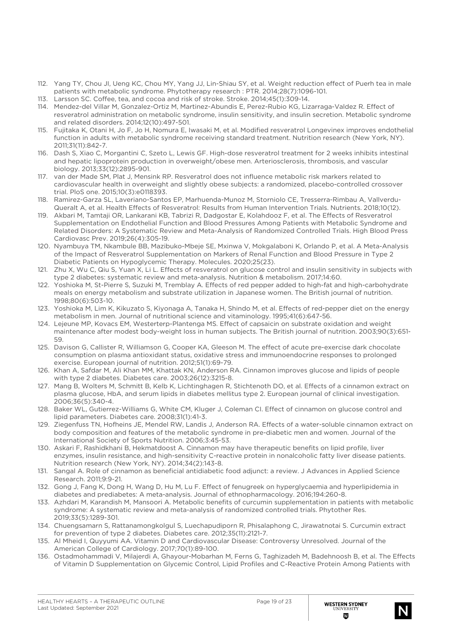- 112. Yang TY, Chou JI, Ueng KC, Chou MY, Yang JJ, Lin-Shiau SY, et al. Weight reduction effect of Puerh tea in male patients with metabolic syndrome. Phytotherapy research : PTR. 2014;28(7):1096-101.
- 113. Larsson SC. Coffee, tea, and cocoa and risk of stroke. Stroke. 2014;45(1):309-14.
- 114. Mendez-del Villar M, Gonzalez-Ortiz M, Martinez-Abundis E, Perez-Rubio KG, Lizarraga-Valdez R. Effect of resveratrol administration on metabolic syndrome, insulin sensitivity, and insulin secretion. Metabolic syndrome and related disorders. 2014;12(10):497-501.
- 115. Fujitaka K, Otani H, Jo F, Jo H, Nomura E, Iwasaki M, et al. Modified resveratrol Longevinex improves endothelial function in adults with metabolic syndrome receiving standard treatment. Nutrition research (New York, NY). 2011;31(11):842-7.
- 116. Dash S, Xiao C, Morgantini C, Szeto L, Lewis GF. High-dose resveratrol treatment for 2 weeks inhibits intestinal and hepatic lipoprotein production in overweight/obese men. Arteriosclerosis, thrombosis, and vascular biology. 2013;33(12):2895-901.
- 117. van der Made SM, Plat J, Mensink RP. Resveratrol does not influence metabolic risk markers related to cardiovascular health in overweight and slightly obese subjects: a randomized, placebo-controlled crossover trial. PloS one. 2015;10(3):e0118393.
- 118. Ramirez-Garza SL, Laveriano-Santos EP, Marhuenda-Munoz M, Storniolo CE, Tresserra-Rimbau A, Vallverdu-Queralt A, et al. Health Effects of Resveratrol: Results from Human Intervention Trials. Nutrients. 2018;10(12).
- 119. Akbari M, Tamtaji OR, Lankarani KB, Tabrizi R, Dadgostar E, Kolahdooz F, et al. The Effects of Resveratrol Supplementation on Endothelial Function and Blood Pressures Among Patients with Metabolic Syndrome and Related Disorders: A Systematic Review and Meta-Analysis of Randomized Controlled Trials. High Blood Press Cardiovasc Prev. 2019;26(4):305-19.
- 120. Nyambuya TM, Nkambule BB, Mazibuko-Mbeje SE, Mxinwa V, Mokgalaboni K, Orlando P, et al. A Meta-Analysis of the Impact of Resveratrol Supplementation on Markers of Renal Function and Blood Pressure in Type 2 Diabetic Patients on Hypoglycemic Therapy. Molecules. 2020;25(23).
- 121. Zhu X, Wu C, Qiu S, Yuan X, Li L. Effects of resveratrol on glucose control and insulin sensitivity in subjects with type 2 diabetes: systematic review and meta-analysis. Nutrition & metabolism. 2017;14:60.
- 122. Yoshioka M, St-Pierre S, Suzuki M, Tremblay A. Effects of red pepper added to high-fat and high-carbohydrate meals on energy metabolism and substrate utilization in Japanese women. The British journal of nutrition. 1998;80(6):503-10.
- 123. Yoshioka M, Lim K, Kikuzato S, Kiyonaga A, Tanaka H, Shindo M, et al. Effects of red-pepper diet on the energy metabolism in men. Journal of nutritional science and vitaminology. 1995;41(6):647-56.
- 124. Lejeune MP, Kovacs EM, Westerterp-Plantenga MS. Effect of capsaicin on substrate oxidation and weight maintenance after modest body-weight loss in human subjects. The British journal of nutrition. 2003;90(3):651- 59.
- 125. Davison G, Callister R, Williamson G, Cooper KA, Gleeson M. The effect of acute pre-exercise dark chocolate consumption on plasma antioxidant status, oxidative stress and immunoendocrine responses to prolonged exercise. European journal of nutrition. 2012;51(1):69-79.
- 126. Khan A, Safdar M, Ali Khan MM, Khattak KN, Anderson RA. Cinnamon improves glucose and lipids of people with type 2 diabetes. Diabetes care. 2003;26(12):3215-8.
- 127. Mang B, Wolters M, Schmitt B, Kelb K, Lichtinghagen R, Stichtenoth DO, et al. Effects of a cinnamon extract on plasma glucose, HbA, and serum lipids in diabetes mellitus type 2. European journal of clinical investigation. 2006;36(5):340-4.
- 128. Baker WL, Gutierrez-Williams G, White CM, Kluger J, Coleman CI. Effect of cinnamon on glucose control and lipid parameters. Diabetes care. 2008;31(1):41-3.
- 129. Ziegenfuss TN, Hofheins JE, Mendel RW, Landis J, Anderson RA. Effects of a water-soluble cinnamon extract on body composition and features of the metabolic syndrome in pre-diabetic men and women. Journal of the International Society of Sports Nutrition. 2006;3:45-53.
- 130. Askari F, Rashidkhani B, Hekmatdoost A. Cinnamon may have therapeutic benefits on lipid profile, liver enzymes, insulin resistance, and high-sensitivity C-reactive protein in nonalcoholic fatty liver disease patients. Nutrition research (New York, NY). 2014;34(2):143-8.
- 131. Sangal A. Role of cinnamon as beneficial antidiabetic food adjunct: a review. J Advances in Applied Science Research. 2011;9:9-21.
- 132. Gong J, Fang K, Dong H, Wang D, Hu M, Lu F. Effect of fenugreek on hyperglycaemia and hyperlipidemia in diabetes and prediabetes: A meta-analysis. Journal of ethnopharmacology. 2016;194:260-8.
- 133. Azhdari M, Karandish M, Mansoori A. Metabolic benefits of curcumin supplementation in patients with metabolic syndrome: A systematic review and meta-analysis of randomized controlled trials. Phytother Res. 2019;33(5):1289-301.
- 134. Chuengsamarn S, Rattanamongkolgul S, Luechapudiporn R, Phisalaphong C, Jirawatnotai S. Curcumin extract for prevention of type 2 diabetes. Diabetes care. 2012;35(11):2121-7.
- 135. Al Mheid I, Quyyumi AA. Vitamin D and Cardiovascular Disease: Controversy Unresolved. Journal of the American College of Cardiology. 2017;70(1):89-100.
- 136. Ostadmohammadi V, Milajerdi A, Ghayour-Mobarhan M, Ferns G, Taghizadeh M, Badehnoosh B, et al. The Effects of Vitamin D Supplementation on Glycemic Control, Lipid Profiles and C-Reactive Protein Among Patients with

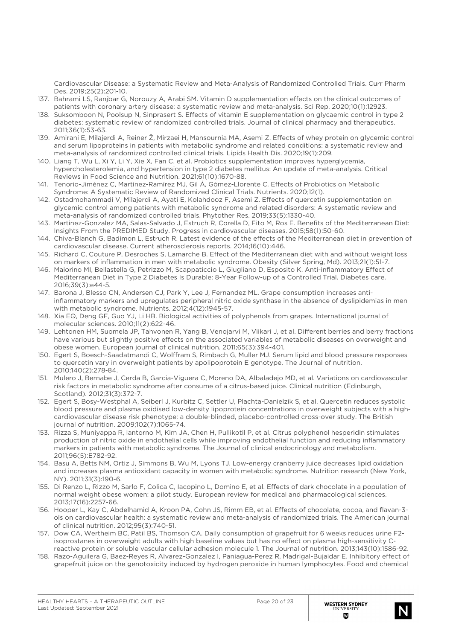Cardiovascular Disease: a Systematic Review and Meta-Analysis of Randomized Controlled Trials. Curr Pharm Des. 2019;25(2):201-10.

- 137. Bahrami LS, Ranjbar G, Norouzy A, Arabi SM. Vitamin D supplementation effects on the clinical outcomes of patients with coronary artery disease: a systematic review and meta-analysis. Sci Rep. 2020;10(1):12923.
- 138. Suksomboon N, Poolsup N, Sinprasert S. Effects of vitamin E supplementation on glycaemic control in type 2 diabetes: systematic review of randomized controlled trials. Journal of clinical pharmacy and therapeutics. 2011;36(1):53-63.
- 139. Amirani E, Milajerdi A, Reiner Ž, Mirzaei H, Mansournia MA, Asemi Z. Effects of whey protein on glycemic control and serum lipoproteins in patients with metabolic syndrome and related conditions: a systematic review and meta-analysis of randomized controlled clinical trials. Lipids Health Dis. 2020;19(1):209.
- 140. Liang T, Wu L, Xi Y, Li Y, Xie X, Fan C, et al. Probiotics supplementation improves hyperglycemia, hypercholesterolemia, and hypertension in type 2 diabetes mellitus: An update of meta-analysis. Critical Reviews in Food Science and Nutrition. 2021;61(10):1670-88.
- 141. Tenorio-Jiménez C, Martínez-Ramírez MJ, Gil Á, Gómez-Llorente C. Effects of Probiotics on Metabolic Syndrome: A Systematic Review of Randomized Clinical Trials. Nutrients. 2020;12(1).
- 142. Ostadmohammadi V, Milajerdi A, Ayati E, Kolahdooz F, Asemi Z. Effects of quercetin supplementation on glycemic control among patients with metabolic syndrome and related disorders: A systematic review and meta-analysis of randomized controlled trials. Phytother Res. 2019;33(5):1330-40.
- 143. Martinez-Gonzalez MA, Salas-Salvado J, Estruch R, Corella D, Fito M, Ros E. Benefits of the Mediterranean Diet: Insights From the PREDIMED Study. Progress in cardiovascular diseases. 2015;58(1):50-60.
- 144. Chiva-Blanch G, Badimon L, Estruch R. Latest evidence of the effects of the Mediterranean diet in prevention of cardiovascular disease. Current atherosclerosis reports. 2014;16(10):446.
- 145. Richard C, Couture P, Desroches S, Lamarche B. Effect of the Mediterranean diet with and without weight loss on markers of inflammation in men with metabolic syndrome. Obesity (Silver Spring, Md). 2013;21(1):51-7.
- 146. Maiorino MI, Bellastella G, Petrizzo M, Scappaticcio L, Giugliano D, Esposito K. Anti-inflammatory Effect of Mediterranean Diet in Type 2 Diabetes Is Durable: 8-Year Follow-up of a Controlled Trial. Diabetes care. 2016;39(3):e44-5.
- 147. Barona J, Blesso CN, Andersen CJ, Park Y, Lee J, Fernandez ML. Grape consumption increases antiinflammatory markers and upregulates peripheral nitric oxide synthase in the absence of dyslipidemias in men with metabolic syndrome. Nutrients. 2012;4(12):1945-57.
- 148. Xia EQ, Deng GF, Guo YJ, Li HB. Biological activities of polyphenols from grapes. International journal of molecular sciences. 2010;11(2):622-46.
- 149. Lehtonen HM, Suomela JP, Tahvonen R, Yang B, Venojarvi M, Viikari J, et al. Different berries and berry fractions have various but slightly positive effects on the associated variables of metabolic diseases on overweight and obese women. European journal of clinical nutrition. 2011;65(3):394-401.
- 150. Egert S, Boesch-Saadatmandi C, Wolffram S, Rimbach G, Muller MJ. Serum lipid and blood pressure responses to quercetin vary in overweight patients by apolipoprotein E genotype. The Journal of nutrition. 2010;140(2):278-84.
- 151. Mulero J, Bernabe J, Cerda B, Garcia-Viguera C, Moreno DA, Albaladejo MD, et al. Variations on cardiovascular risk factors in metabolic syndrome after consume of a citrus-based juice. Clinical nutrition (Edinburgh, Scotland). 2012;31(3):372-7.
- 152. Egert S, Bosy-Westphal A, Seiberl J, Kurbitz C, Settler U, Plachta-Danielzik S, et al. Quercetin reduces systolic blood pressure and plasma oxidised low-density lipoprotein concentrations in overweight subjects with a highcardiovascular disease risk phenotype: a double-blinded, placebo-controlled cross-over study. The British journal of nutrition. 2009;102(7):1065-74.
- 153. Rizza S, Muniyappa R, Iantorno M, Kim JA, Chen H, Pullikotil P, et al. Citrus polyphenol hesperidin stimulates production of nitric oxide in endothelial cells while improving endothelial function and reducing inflammatory markers in patients with metabolic syndrome. The Journal of clinical endocrinology and metabolism. 2011;96(5):E782-92.
- 154. Basu A, Betts NM, Ortiz J, Simmons B, Wu M, Lyons TJ. Low-energy cranberry juice decreases lipid oxidation and increases plasma antioxidant capacity in women with metabolic syndrome. Nutrition research (New York, NY). 2011;31(3):190-6.
- 155. Di Renzo L, Rizzo M, Sarlo F, Colica C, Iacopino L, Domino E, et al. Effects of dark chocolate in a population of normal weight obese women: a pilot study. European review for medical and pharmacological sciences. 2013;17(16):2257-66.
- 156. Hooper L, Kay C, Abdelhamid A, Kroon PA, Cohn JS, Rimm EB, et al. Effects of chocolate, cocoa, and flavan-3 ols on cardiovascular health: a systematic review and meta-analysis of randomized trials. The American journal of clinical nutrition. 2012;95(3):740-51.
- 157. Dow CA, Wertheim BC, Patil BS, Thomson CA. Daily consumption of grapefruit for 6 weeks reduces urine F2 isoprostanes in overweight adults with high baseline values but has no effect on plasma high-sensitivity Creactive protein or soluble vascular cellular adhesion molecule 1. The Journal of nutrition. 2013;143(10):1586-92.
- 158. Razo-Aguilera G, Baez-Reyes R, Alvarez-Gonzalez I, Paniagua-Perez R, Madrigal-Bujaidar E. Inhibitory effect of grapefruit juice on the genotoxicity induced by hydrogen peroxide in human lymphocytes. Food and chemical

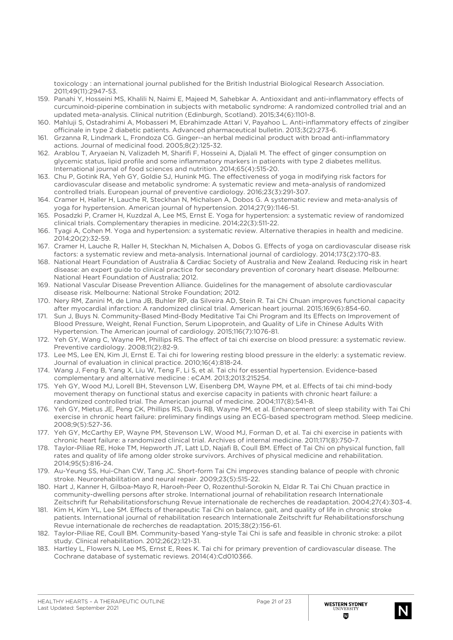toxicology : an international journal published for the British Industrial Biological Research Association. 2011;49(11):2947-53.

- 159. Panahi Y, Hosseini MS, Khalili N, Naimi E, Majeed M, Sahebkar A. Antioxidant and anti-inflammatory effects of curcuminoid-piperine combination in subjects with metabolic syndrome: A randomized controlled trial and an updated meta-analysis. Clinical nutrition (Edinburgh, Scotland). 2015;34(6):1101-8.
- 160. Mahluji S, Ostadrahimi A, Mobasseri M, Ebrahimzade Attari V, Payahoo L. Anti-inflammatory effects of zingiber officinale in type 2 diabetic patients. Advanced pharmaceutical bulletin. 2013;3(2):273-6.
- 161. Grzanna R, Lindmark L, Frondoza CG. Ginger--an herbal medicinal product with broad anti-inflammatory actions. Journal of medicinal food. 2005;8(2):125-32.
- 162. Arablou T, Aryaeian N, Valizadeh M, Sharifi F, Hosseini A, Djalali M. The effect of ginger consumption on glycemic status, lipid profile and some inflammatory markers in patients with type 2 diabetes mellitus. International journal of food sciences and nutrition. 2014;65(4):515-20.
- 163. Chu P, Gotink RA, Yeh GY, Goldie SJ, Hunink MG. The effectiveness of yoga in modifying risk factors for cardiovascular disease and metabolic syndrome: A systematic review and meta-analysis of randomized controlled trials. European journal of preventive cardiology. 2016;23(3):291-307.
- 164. Cramer H, Haller H, Lauche R, Steckhan N, Michalsen A, Dobos G. A systematic review and meta-analysis of yoga for hypertension. American journal of hypertension. 2014;27(9):1146-51.
- 165. Posadzki P, Cramer H, Kuzdzal A, Lee MS, Ernst E. Yoga for hypertension: a systematic review of randomized clinical trials. Complementary therapies in medicine. 2014;22(3):511-22.
- 166. Tyagi A, Cohen M. Yoga and hypertension: a systematic review. Alternative therapies in health and medicine. 2014;20(2):32-59.
- 167. Cramer H, Lauche R, Haller H, Steckhan N, Michalsen A, Dobos G. Effects of yoga on cardiovascular disease risk factors: a systematic review and meta-analysis. International journal of cardiology. 2014;173(2):170-83.
- 168. National Heart Foundation of Australia & Cardiac Society of Australia and New Zealand. Reducing risk in heart disease: an expert guide to clinical practice for secondary prevention of coronary heart disease. Melbourne: National Heart Foundation of Australia; 2012.
- 169. National Vascular Disease Prevention Alliance. Guidelines for the management of absolute cardiovascular disease risk. Melbourne: National Stroke Foundation; 2012.
- 170. Nery RM, Zanini M, de Lima JB, Buhler RP, da Silveira AD, Stein R. Tai Chi Chuan improves functional capacity after myocardial infarction: A randomized clinical trial. American heart journal. 2015;169(6):854-60.
- 171. Sun J, Buys N. Community-Based Mind-Body Meditative Tai Chi Program and Its Effects on Improvement of Blood Pressure, Weight, Renal Function, Serum Lipoprotein, and Quality of Life in Chinese Adults With Hypertension. The American journal of cardiology. 2015;116(7):1076-81.
- 172. Yeh GY, Wang C, Wayne PM, Phillips RS. The effect of tai chi exercise on blood pressure: a systematic review. Preventive cardiology. 2008;11(2):82-9.
- 173. Lee MS, Lee EN, Kim JI, Ernst E. Tai chi for lowering resting blood pressure in the elderly: a systematic review. Journal of evaluation in clinical practice. 2010;16(4):818-24.
- 174. Wang J, Feng B, Yang X, Liu W, Teng F, Li S, et al. Tai chi for essential hypertension. Evidence-based complementary and alternative medicine : eCAM. 2013;2013:215254.
- 175. Yeh GY, Wood MJ, Lorell BH, Stevenson LW, Eisenberg DM, Wayne PM, et al. Effects of tai chi mind-body movement therapy on functional status and exercise capacity in patients with chronic heart failure: a randomized controlled trial. The American journal of medicine. 2004;117(8):541-8.
- 176. Yeh GY, Mietus JE, Peng CK, Phillips RS, Davis RB, Wayne PM, et al. Enhancement of sleep stability with Tai Chi exercise in chronic heart failure: preliminary findings using an ECG-based spectrogram method. Sleep medicine. 2008;9(5):527-36.
- 177. Yeh GY, McCarthy EP, Wayne PM, Stevenson LW, Wood MJ, Forman D, et al. Tai chi exercise in patients with chronic heart failure: a randomized clinical trial. Archives of internal medicine. 2011;171(8):750-7.
- 178. Taylor-Piliae RE, Hoke TM, Hepworth JT, Latt LD, Najafi B, Coull BM. Effect of Tai Chi on physical function, fall rates and quality of life among older stroke survivors. Archives of physical medicine and rehabilitation. 2014;95(5):816-24.
- 179. Au-Yeung SS, Hui-Chan CW, Tang JC. Short-form Tai Chi improves standing balance of people with chronic stroke. Neurorehabilitation and neural repair. 2009;23(5):515-22.
- 180. Hart J, Kanner H, Gilboa-Mayo R, Haroeh-Peer O, Rozenthul-Sorokin N, Eldar R. Tai Chi Chuan practice in community-dwelling persons after stroke. International journal of rehabilitation research Internationale Zeitschrift fur Rehabilitationsforschung Revue internationale de recherches de readaptation. 2004;27(4):303-4.
- 181. Kim H, Kim YL, Lee SM. Effects of therapeutic Tai Chi on balance, gait, and quality of life in chronic stroke patients. International journal of rehabilitation research Internationale Zeitschrift fur Rehabilitationsforschung Revue internationale de recherches de readaptation. 2015;38(2):156-61.
- 182. Taylor-Piliae RE, Coull BM. Community-based Yang-style Tai Chi is safe and feasible in chronic stroke: a pilot study. Clinical rehabilitation. 2012;26(2):121-31.
- 183. Hartley L, Flowers N, Lee MS, Ernst E, Rees K. Tai chi for primary prevention of cardiovascular disease. The Cochrane database of systematic reviews. 2014(4):Cd010366.

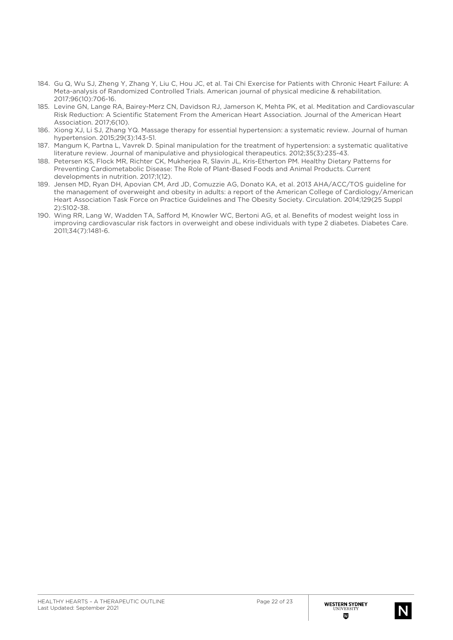- 184. Gu Q, Wu SJ, Zheng Y, Zhang Y, Liu C, Hou JC, et al. Tai Chi Exercise for Patients with Chronic Heart Failure: A Meta-analysis of Randomized Controlled Trials. American journal of physical medicine & rehabilitation. 2017;96(10):706-16.
- 185. Levine GN, Lange RA, Bairey-Merz CN, Davidson RJ, Jamerson K, Mehta PK, et al. Meditation and Cardiovascular Risk Reduction: A Scientific Statement From the American Heart Association. Journal of the American Heart Association. 2017;6(10).
- 186. Xiong XJ, Li SJ, Zhang YQ. Massage therapy for essential hypertension: a systematic review. Journal of human hypertension. 2015;29(3):143-51.
- 187. Mangum K, Partna L, Vavrek D. Spinal manipulation for the treatment of hypertension: a systematic qualitative literature review. Journal of manipulative and physiological therapeutics. 2012;35(3):235-43.
- 188. Petersen KS, Flock MR, Richter CK, Mukherjea R, Slavin JL, Kris-Etherton PM. Healthy Dietary Patterns for Preventing Cardiometabolic Disease: The Role of Plant-Based Foods and Animal Products. Current developments in nutrition. 2017;1(12).
- 189. Jensen MD, Ryan DH, Apovian CM, Ard JD, Comuzzie AG, Donato KA, et al. 2013 AHA/ACC/TOS guideline for the management of overweight and obesity in adults: a report of the American College of Cardiology/American Heart Association Task Force on Practice Guidelines and The Obesity Society. Circulation. 2014;129(25 Suppl 2):S102-38.
- 190. Wing RR, Lang W, Wadden TA, Safford M, Knowler WC, Bertoni AG, et al. Benefits of modest weight loss in improving cardiovascular risk factors in overweight and obese individuals with type 2 diabetes. Diabetes Care. 2011;34(7):1481-6.